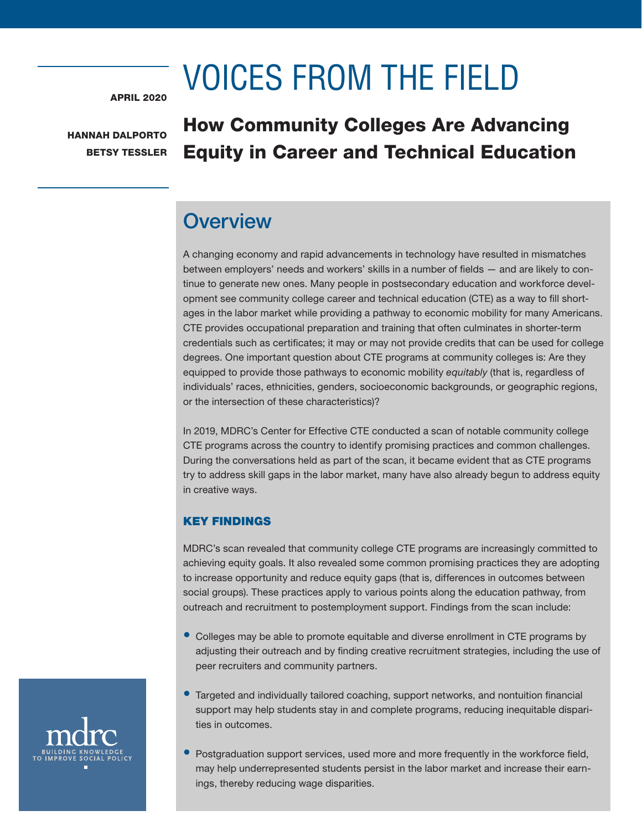# VOICES FROM THE FIELD

APRIL 2020

HANNAH DALPORTO BETSY TESSLER

# How Community Colleges Are Advancing Equity in Career and Technical Education

# **Overview**

A changing economy and rapid advancements in technology have resulted in mismatches between employers' needs and workers' skills in a number of fields — and are likely to continue to generate new ones. Many people in postsecondary education and workforce development see community college career and technical education (CTE) as a way to fill shortages in the labor market while providing a pathway to economic mobility for many Americans. CTE provides occupational preparation and training that often culminates in shorter-term credentials such as certificates; it may or may not provide credits that can be used for college degrees. One important question about CTE programs at community colleges is: Are they equipped to provide those pathways to economic mobility *equitably* (that is, regardless of individuals' races, ethnicities, genders, socioeconomic backgrounds, or geographic regions, or the intersection of these characteristics)?

In 2019, MDRC's Center for Effective CTE conducted a scan of notable community college CTE programs across the country to identify promising practices and common challenges. During the conversations held as part of the scan, it became evident that as CTE programs try to address skill gaps in the labor market, many have also already begun to address equity in creative ways.

### KEY FINDINGS

MDRC's scan revealed that community college CTE programs are increasingly committed to achieving equity goals. It also revealed some common promising practices they are adopting to increase opportunity and reduce equity gaps (that is, differences in outcomes between social groups). These practices apply to various points along the education pathway, from outreach and recruitment to postemployment support. Findings from the scan include:

- Colleges may be able to promote equitable and diverse enrollment in CTE programs by adjusting their outreach and by finding creative recruitment strategies, including the use of peer recruiters and community partners.
- Targeted and individually tailored coaching, support networks, and nontuition financial support may help students stay in and complete programs, reducing inequitable disparities in outcomes.
- Postgraduation support services, used more and more frequently in the workforce field, may help underrepresented students persist in the labor market and increase their earnings, thereby reducing wage disparities.

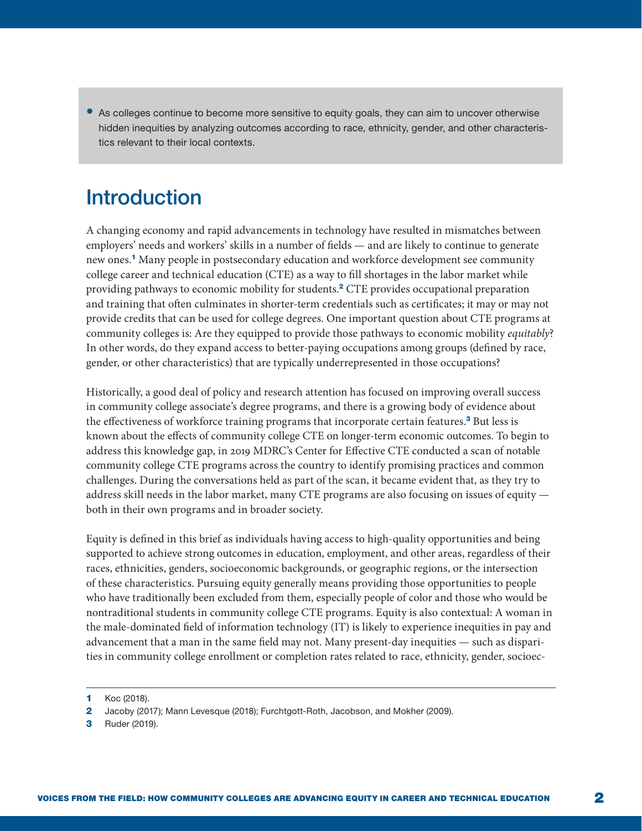• As colleges continue to become more sensitive to equity goals, they can aim to uncover otherwise hidden inequities by analyzing outcomes according to race, ethnicity, gender, and other characteristics relevant to their local contexts.

## **Introduction**

A changing economy and rapid advancements in technology have resulted in mismatches between employers' needs and workers' skills in a number of fields — and are likely to continue to generate new ones.<sup>1</sup> Many people in postsecondary education and workforce development see community college career and technical education (CTE) as a way to fill shortages in the labor market while providing pathways to economic mobility for students.<sup>2</sup> CTE provides occupational preparation and training that often culminates in shorter-term credentials such as certificates; it may or may not provide credits that can be used for college degrees. One important question about CTE programs at community colleges is: Are they equipped to provide those pathways to economic mobility *equitably*? In other words, do they expand access to better-paying occupations among groups (defined by race, gender, or other characteristics) that are typically underrepresented in those occupations?

Historically, a good deal of policy and research attention has focused on improving overall success in community college associate's degree programs, and there is a growing body of evidence about the effectiveness of workforce training programs that incorporate certain features.<sup>3</sup> But less is known about the effects of community college CTE on longer-term economic outcomes. To begin to address this knowledge gap, in 2019 MDRC's Center for Effective CTE conducted a scan of notable community college CTE programs across the country to identify promising practices and common challenges. During the conversations held as part of the scan, it became evident that, as they try to address skill needs in the labor market, many CTE programs are also focusing on issues of equity both in their own programs and in broader society.

Equity is defined in this brief as individuals having access to high-quality opportunities and being supported to achieve strong outcomes in education, employment, and other areas, regardless of their races, ethnicities, genders, socioeconomic backgrounds, or geographic regions, or the intersection of these characteristics. Pursuing equity generally means providing those opportunities to people who have traditionally been excluded from them, especially people of color and those who would be nontraditional students in community college CTE programs. Equity is also contextual: A woman in the male-dominated field of information technology (IT) is likely to experience inequities in pay and advancement that a man in the same field may not. Many present-day inequities — such as disparities in community college enrollment or completion rates related to race, ethnicity, gender, socioec-

3 Ruder (2019).

<sup>1</sup> Koc (2018).

<sup>2</sup> Jacoby (2017); Mann Levesque (2018); Furchtgott-Roth, Jacobson, and Mokher (2009).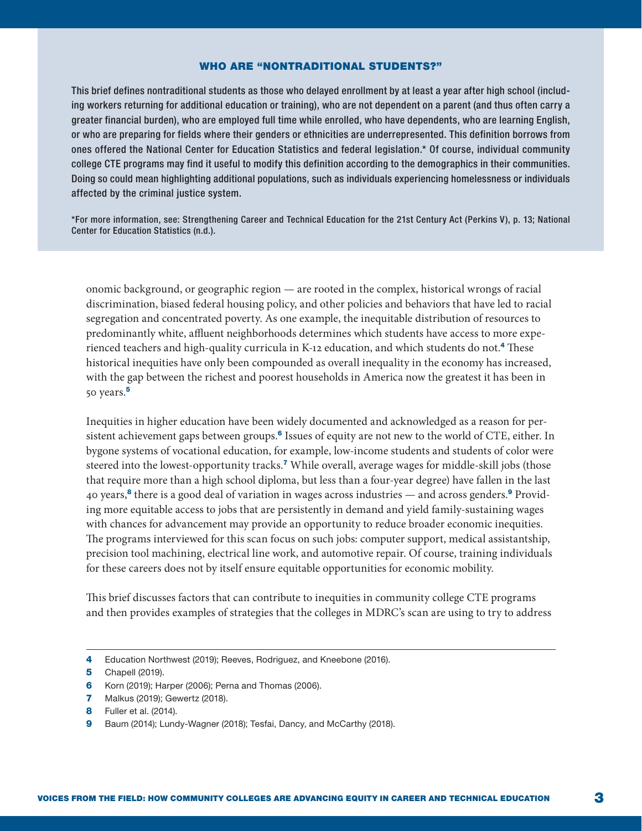#### WHO ARE "NONTRADITIONAL STUDENTS?"

This brief defines nontraditional students as those who delayed enrollment by at least a year after high school (including workers returning for additional education or training), who are not dependent on a parent (and thus often carry a greater financial burden), who are employed full time while enrolled, who have dependents, who are learning English, or who are preparing for fields where their genders or ethnicities are underrepresented. This definition borrows from ones offered the National Center for Education Statistics and federal legislation.\* Of course, individual community college CTE programs may find it useful to modify this definition according to the demographics in their communities. Doing so could mean highlighting additional populations, such as individuals experiencing homelessness or individuals affected by the criminal justice system.

\*For more information, see: Strengthening Career and Technical Education for the 21st Century Act (Perkins V), p. 13; National Center for Education Statistics (n.d.).

onomic background, or geographic region — are rooted in the complex, historical wrongs of racial discrimination, biased federal housing policy, and other policies and behaviors that have led to racial segregation and concentrated poverty. As one example, the inequitable distribution of resources to predominantly white, affluent neighborhoods determines which students have access to more experienced teachers and high-quality curricula in K-12 education, and which students do not.<sup>4</sup> These historical inequities have only been compounded as overall inequality in the economy has increased, with the gap between the richest and poorest households in America now the greatest it has been in 50 years.<sup>5</sup>

Inequities in higher education have been widely documented and acknowledged as a reason for persistent achievement gaps between groups.<sup>6</sup> Issues of equity are not new to the world of CTE, either. In bygone systems of vocational education, for example, low-income students and students of color were steered into the lowest-opportunity tracks.<sup>7</sup> While overall, average wages for middle-skill jobs (those that require more than a high school diploma, but less than a four-year degree) have fallen in the last 40 years,<sup>8</sup> there is a good deal of variation in wages across industries — and across genders.<sup>9</sup> Providing more equitable access to jobs that are persistently in demand and yield family-sustaining wages with chances for advancement may provide an opportunity to reduce broader economic inequities. The programs interviewed for this scan focus on such jobs: computer support, medical assistantship, precision tool machining, electrical line work, and automotive repair. Of course, training individuals for these careers does not by itself ensure equitable opportunities for economic mobility.

This brief discusses factors that can contribute to inequities in community college CTE programs and then provides examples of strategies that the colleges in MDRC's scan are using to try to address

<sup>4</sup> Education Northwest (2019); Reeves, Rodriguez, and Kneebone (2016).

**<sup>5</sup>** Chapell (2019).

<sup>6</sup> Korn (2019); Harper (2006); Perna and Thomas (2006).

<sup>7</sup> Malkus (2019); Gewertz (2018).

<sup>8</sup> Fuller et al. (2014).

<sup>9</sup> Baum (2014); Lundy-Wagner (2018); Tesfai, Dancy, and McCarthy (2018).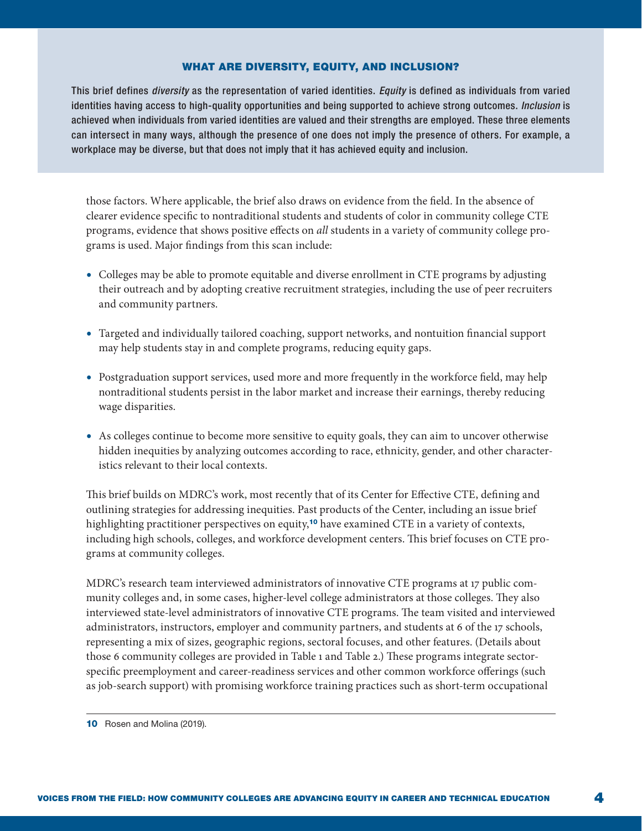#### WHAT ARE DIVERSITY, EQUITY, AND INCLUSION?

This brief defines *diversity* as the representation of varied identities. *Equity* is defined as individuals from varied identities having access to high-quality opportunities and being supported to achieve strong outcomes. *Inclusion* is achieved when individuals from varied identities are valued and their strengths are employed. These three elements can intersect in many ways, although the presence of one does not imply the presence of others. For example, a workplace may be diverse, but that does not imply that it has achieved equity and inclusion.

those factors. Where applicable, the brief also draws on evidence from the field. In the absence of clearer evidence specific to nontraditional students and students of color in community college CTE programs, evidence that shows positive effects on *all* students in a variety of community college programs is used. Major findings from this scan include:

- Colleges may be able to promote equitable and diverse enrollment in CTE programs by adjusting their outreach and by adopting creative recruitment strategies, including the use of peer recruiters and community partners.
- Targeted and individually tailored coaching, support networks, and nontuition financial support may help students stay in and complete programs, reducing equity gaps.
- Postgraduation support services, used more and more frequently in the workforce field, may help nontraditional students persist in the labor market and increase their earnings, thereby reducing wage disparities.
- As colleges continue to become more sensitive to equity goals, they can aim to uncover otherwise hidden inequities by analyzing outcomes according to race, ethnicity, gender, and other characteristics relevant to their local contexts.

This brief builds on MDRC's work, most recently that of its Center for Effective CTE, defining and outlining strategies for addressing inequities. Past products of the Center, including an issue brief highlighting practitioner perspectives on equity,<sup>10</sup> have examined CTE in a variety of contexts, including high schools, colleges, and workforce development centers. This brief focuses on CTE programs at community colleges.

MDRC's research team interviewed administrators of innovative CTE programs at 17 public community colleges and, in some cases, higher-level college administrators at those colleges. They also interviewed state-level administrators of innovative CTE programs. The team visited and interviewed administrators, instructors, employer and community partners, and students at 6 of the 17 schools, representing a mix of sizes, geographic regions, sectoral focuses, and other features. (Details about those 6 community colleges are provided in Table 1 and Table 2.) These programs integrate sectorspecific preemployment and career-readiness services and other common workforce offerings (such as job-search support) with promising workforce training practices such as short-term occupational

<sup>10</sup> Rosen and Molina (2019).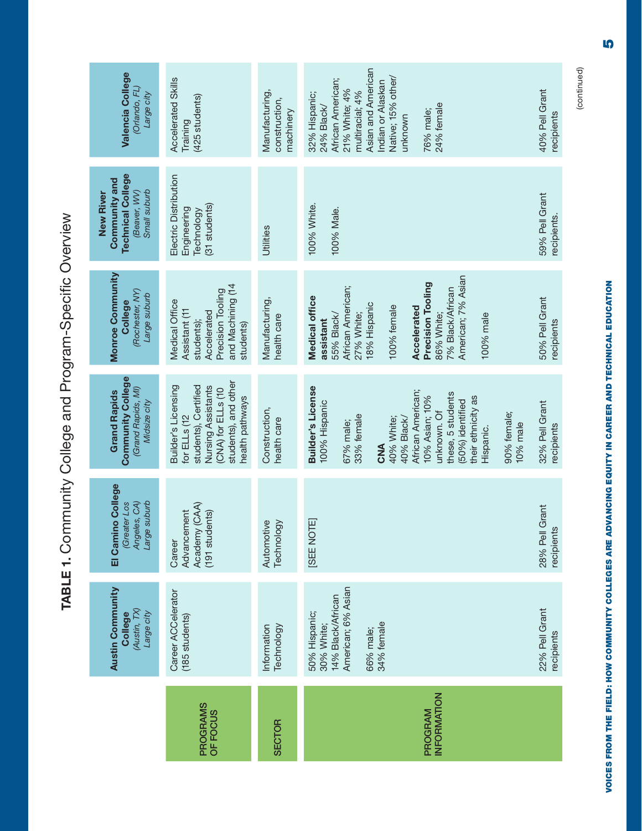| Valencia College<br>(Orlando, FL)<br>Large city                                               | <b>Accelerated Skills</b><br>(425 students)<br>Training                                                                                            | Manufacturing,<br>construction,<br>machinery | Asian and American<br>Native; 15% other/<br>African American;<br>Indian or Alaskan<br>21% White; 4%<br>multiracial; 4%<br>32% Hispanic;<br>24% female<br>24% Black/<br>76% male;<br>unknown                                                                   | 40% Pell Grant<br>recipients  |
|-----------------------------------------------------------------------------------------------|----------------------------------------------------------------------------------------------------------------------------------------------------|----------------------------------------------|---------------------------------------------------------------------------------------------------------------------------------------------------------------------------------------------------------------------------------------------------------------|-------------------------------|
| <b>Technical College</b><br>Community and<br>Small suburb<br><b>New River</b><br>(Beaver, WV) | Electric Distribution<br>(31 students)<br>Engineering<br>Technology                                                                                | Utilities                                    | 100% White.<br>100% Male.                                                                                                                                                                                                                                     | 59% Pell Grant<br>recipients. |
| <b>Monroe Community</b><br>(Rochester, NY)<br>Large suburb<br>College                         | and Machining (14<br>Precision Tooling<br>Medical Office<br>Assistant (11<br>Accelerated<br>students);<br>students)                                | Manufacturing,<br>health care                | American; 7% Asian<br>Precision Tooling<br>African American;<br>7% Black/African<br>Medical office<br>18% Hispanic<br>100% female<br>Accelerated<br>27% White;<br>55% Black/<br>86% White;<br>100% male<br>assistant                                          | 50% Pell Grant<br>recipients  |
| <b>Community College</b><br>(Grand Rapids, MI)<br><b>Grand Rapids</b><br>Midsize city         | students), and other<br>Builder's Licensing<br>students), Certified<br>Nursing Assistants<br>(CNA) for ELLs (10<br>health pathways<br>for ELLs (12 | Construction,<br>health care                 | Builder's License<br>African American;<br>these, 5 students<br>10% Asian; 10%<br>their ethnicity as<br>(50%) identified<br>100% Hispanic<br>unknown. Of<br>90% female;<br>33% female<br>40% Black/<br>40% White;<br>67% male;<br>10% male<br>Hispanic.<br>CNA | 32% Pell Grant<br>recipients  |
| El Camino College<br>Large suburb<br>(Greater Los<br>Angeles, CA)                             | Academy (CAA)<br>Advancement<br>(191 students)<br>Career                                                                                           | Technology<br>Automotive                     | [SEE NOTE]                                                                                                                                                                                                                                                    | 28% Pell Grant<br>recipients  |
| <b>Austin Community</b><br>(Austin, TX)<br>Large city<br><b>College</b>                       | Career ACCelerator<br>(185 students)                                                                                                               | Technology<br>Information                    | American; 6% Asian<br>14% Black/African<br>50% Hispanic;<br>34% female<br>30% White;<br>66% male;                                                                                                                                                             | 22% Pell Grant<br>recipients  |
|                                                                                               | PROGRAMS<br>OF FOCUS                                                                                                                               | <b>SECTOR</b>                                | INFORMATION<br>PROGRAM                                                                                                                                                                                                                                        |                               |

TABLE 1. Community College and Program-Specific Overview TABLE 1. Community College and Program-Specific Overview

(continued) (continued)

VOICES FROM THE FIELD: HOW COMMUNITY COLLEGES ARE ADVANCING EQUITY IN CAREER AND TECHNICAL EDUCATION 5 VOICES FROM THE FIELD: HOW COMMUNITY COLLEGES ARE ADVANCING EQUITY IN CAREER AND TECHNICAL EDUCATION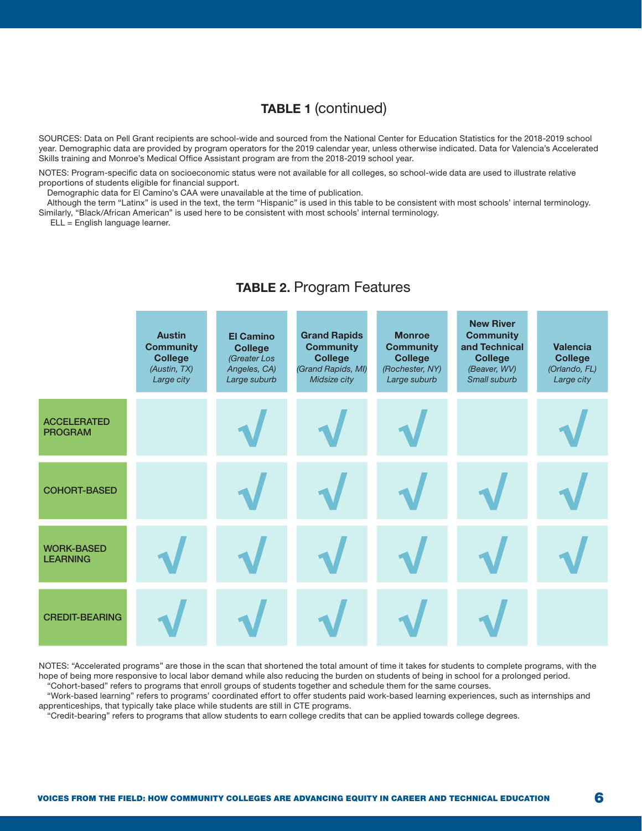### TABLE 1 (continued)

SOURCES: Data on Pell Grant recipients are school-wide and sourced from the National Center for Education Statistics for the 2018-2019 school year. Demographic data are provided by program operators for the 2019 calendar year, unless otherwise indicated. Data for Valencia's Accelerated Skills training and Monroe's Medical Office Assistant program are from the 2018-2019 school year.

NOTES: Program-specific data on socioeconomic status were not available for all colleges, so school-wide data are used to illustrate relative proportions of students eligible for financial support.

Demographic data for El Camino's CAA were unavailable at the time of publication.

Although the term "Latinx" is used in the text, the term "Hispanic" is used in this table to be consistent with most schools' internal terminology. Similarly, "Black/African American" is used here to be consistent with most schools' internal terminology.

ELL = English language learner.

### TABLE 2. Program Features

|                                      | <b>Austin</b><br><b>Community</b><br><b>College</b><br>(Austin, TX)<br>Large city | <b>El Camino</b><br><b>College</b><br>(Greater Los<br>Angeles, CA)<br>Large suburb | <b>Grand Rapids</b><br><b>Community</b><br><b>College</b><br>(Grand Rapids, MI)<br>Midsize city | <b>Monroe</b><br><b>Community</b><br><b>College</b><br>(Rochester, NY)<br>Large suburb | <b>New River</b><br><b>Community</b><br>and Technical<br><b>College</b><br>(Beaver, WV)<br>Small suburb | <b>Valencia</b><br><b>College</b><br>(Orlando, FL)<br>Large city |
|--------------------------------------|-----------------------------------------------------------------------------------|------------------------------------------------------------------------------------|-------------------------------------------------------------------------------------------------|----------------------------------------------------------------------------------------|---------------------------------------------------------------------------------------------------------|------------------------------------------------------------------|
| <b>ACCELERATED</b><br><b>PROGRAM</b> |                                                                                   |                                                                                    |                                                                                                 |                                                                                        |                                                                                                         |                                                                  |
| <b>COHORT-BASED</b>                  |                                                                                   |                                                                                    |                                                                                                 |                                                                                        |                                                                                                         |                                                                  |
| <b>WORK-BASED</b><br><b>LEARNING</b> |                                                                                   |                                                                                    |                                                                                                 |                                                                                        |                                                                                                         |                                                                  |
| <b>CREDIT-BEARING</b>                |                                                                                   |                                                                                    |                                                                                                 |                                                                                        |                                                                                                         |                                                                  |

NOTES: "Accelerated programs" are those in the scan that shortened the total amount of time it takes for students to complete programs, with the hope of being more responsive to local labor demand while also reducing the burden on students of being in school for a prolonged period. "Cohort-based" refers to programs that enroll groups of students together and schedule them for the same courses.

"Work-based learning" refers to programs' coordinated effort to offer students paid work-based learning experiences, such as internships and apprenticeships, that typically take place while students are still in CTE programs.

"Credit-bearing" refers to programs that allow students to earn college credits that can be applied towards college degrees.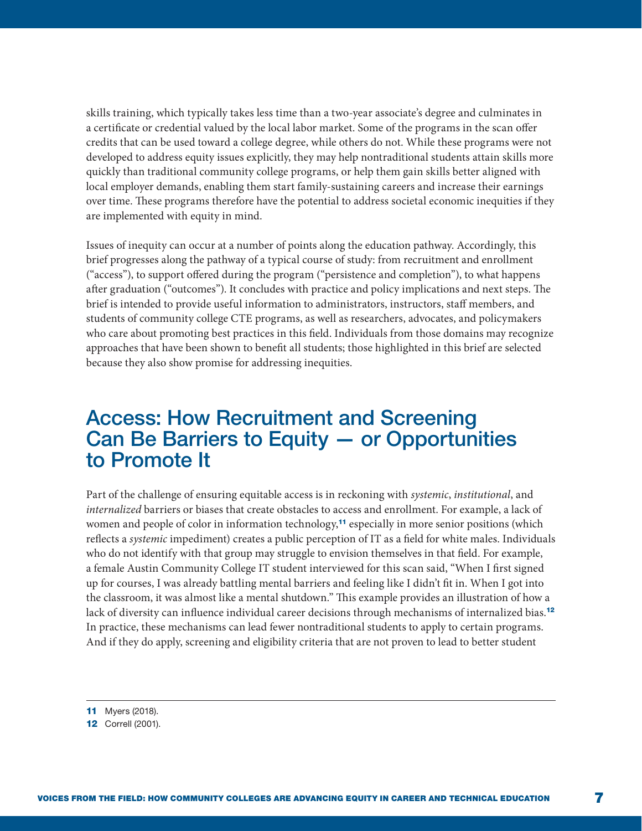skills training, which typically takes less time than a two-year associate's degree and culminates in a certificate or credential valued by the local labor market. Some of the programs in the scan offer credits that can be used toward a college degree, while others do not. While these programs were not developed to address equity issues explicitly, they may help nontraditional students attain skills more quickly than traditional community college programs, or help them gain skills better aligned with local employer demands, enabling them start family-sustaining careers and increase their earnings over time. These programs therefore have the potential to address societal economic inequities if they are implemented with equity in mind.

Issues of inequity can occur at a number of points along the education pathway. Accordingly, this brief progresses along the pathway of a typical course of study: from recruitment and enrollment ("access"), to support offered during the program ("persistence and completion"), to what happens after graduation ("outcomes"). It concludes with practice and policy implications and next steps. The brief is intended to provide useful information to administrators, instructors, staff members, and students of community college CTE programs, as well as researchers, advocates, and policymakers who care about promoting best practices in this field. Individuals from those domains may recognize approaches that have been shown to benefit all students; those highlighted in this brief are selected because they also show promise for addressing inequities.

### Access: How Recruitment and Screening Can Be Barriers to Equity — or Opportunities to Promote It

Part of the challenge of ensuring equitable access is in reckoning with *systemic*, *institutional*, and *internalized* barriers or biases that create obstacles to access and enrollment. For example, a lack of women and people of color in information technology,<sup>11</sup> especially in more senior positions (which reflects a *systemic* impediment) creates a public perception of IT as a field for white males. Individuals who do not identify with that group may struggle to envision themselves in that field. For example, a female Austin Community College IT student interviewed for this scan said, "When I first signed up for courses, I was already battling mental barriers and feeling like I didn't fit in. When I got into the classroom, it was almost like a mental shutdown." This example provides an illustration of how a lack of diversity can influence individual career decisions through mechanisms of internalized bias.<sup>12</sup> In practice, these mechanisms can lead fewer nontraditional students to apply to certain programs. And if they do apply, screening and eligibility criteria that are not proven to lead to better student

**<sup>11</sup>** Myers (2018).

**<sup>12</sup>** Correll (2001).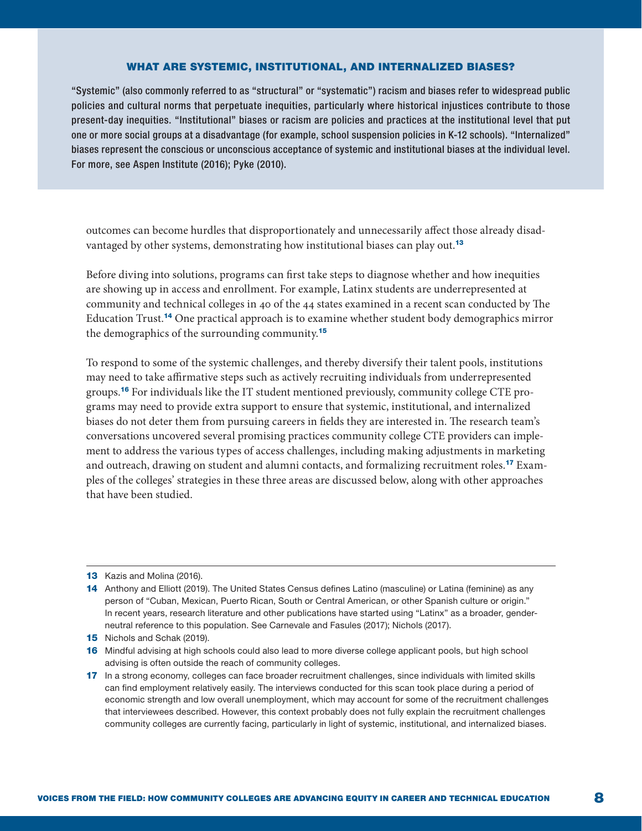#### WHAT ARE SYSTEMIC, INSTITUTIONAL, AND INTERNALIZED BIASES?

"Systemic" (also commonly referred to as "structural" or "systematic") racism and biases refer to widespread public policies and cultural norms that perpetuate inequities, particularly where historical injustices contribute to those present-day inequities. "Institutional" biases or racism are policies and practices at the institutional level that put one or more social groups at a disadvantage (for example, school suspension policies in K-12 schools). "Internalized" biases represent the conscious or unconscious acceptance of systemic and institutional biases at the individual level. For more, see Aspen Institute (2016); Pyke (2010).

outcomes can become hurdles that disproportionately and unnecessarily affect those already disadvantaged by other systems, demonstrating how institutional biases can play out.<sup>13</sup>

Before diving into solutions, programs can first take steps to diagnose whether and how inequities are showing up in access and enrollment. For example, Latinx students are underrepresented at community and technical colleges in 40 of the 44 states examined in a recent scan conducted by The Education Trust.<sup>14</sup> One practical approach is to examine whether student body demographics mirror the demographics of the surrounding community.<sup>15</sup>

To respond to some of the systemic challenges, and thereby diversify their talent pools, institutions may need to take affirmative steps such as actively recruiting individuals from underrepresented groups.16 For individuals like the IT student mentioned previously, community college CTE programs may need to provide extra support to ensure that systemic, institutional, and internalized biases do not deter them from pursuing careers in fields they are interested in. The research team's conversations uncovered several promising practices community college CTE providers can implement to address the various types of access challenges, including making adjustments in marketing and outreach, drawing on student and alumni contacts, and formalizing recruitment roles.17 Examples of the colleges' strategies in these three areas are discussed below, along with other approaches that have been studied.

<sup>13</sup> Kazis and Molina (2016).

<sup>14</sup> Anthony and Elliott (2019). The United States Census defines Latino (masculine) or Latina (feminine) as any person of "Cuban, Mexican, Puerto Rican, South or Central American, or other Spanish culture or origin." In recent years, research literature and other publications have started using "Latinx" as a broader, genderneutral reference to this population. See Carnevale and Fasules (2017); Nichols (2017).

<sup>15</sup> Nichols and Schak (2019).

<sup>16</sup> Mindful advising at high schools could also lead to more diverse college applicant pools, but high school advising is often outside the reach of community colleges.

<sup>17</sup> In a strong economy, colleges can face broader recruitment challenges, since individuals with limited skills can find employment relatively easily. The interviews conducted for this scan took place during a period of economic strength and low overall unemployment, which may account for some of the recruitment challenges that interviewees described. However, this context probably does not fully explain the recruitment challenges community colleges are currently facing, particularly in light of systemic, institutional, and internalized biases.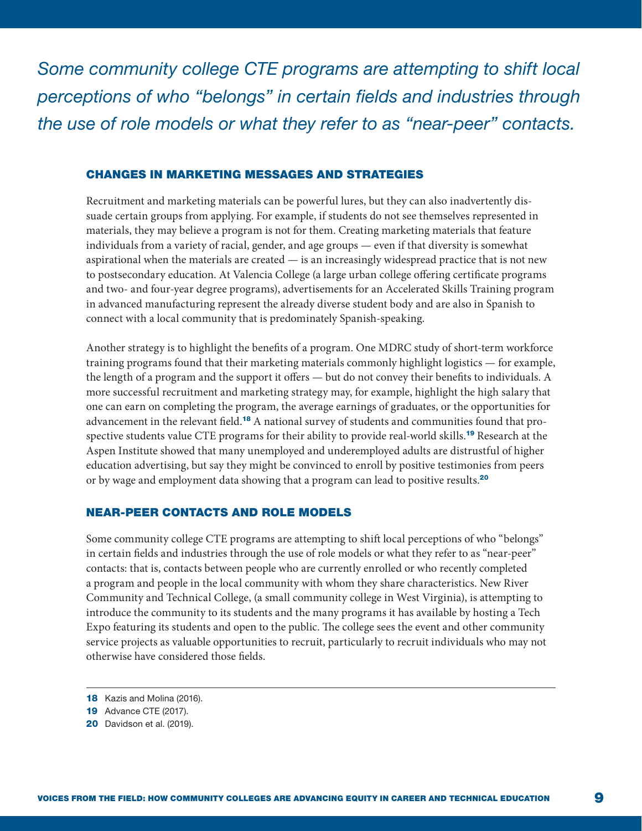*Some community college CTE programs are attempting to shift local perceptions of who "belongs" in certain fields and industries through the use of role models or what they refer to as "near-peer" contacts.*

#### CHANGES IN MARKETING MESSAGES AND STRATEGIES

Recruitment and marketing materials can be powerful lures, but they can also inadvertently dissuade certain groups from applying. For example, if students do not see themselves represented in materials, they may believe a program is not for them. Creating marketing materials that feature individuals from a variety of racial, gender, and age groups — even if that diversity is somewhat aspirational when the materials are created — is an increasingly widespread practice that is not new to postsecondary education. At Valencia College (a large urban college offering certificate programs and two- and four-year degree programs), advertisements for an Accelerated Skills Training program in advanced manufacturing represent the already diverse student body and are also in Spanish to connect with a local community that is predominately Spanish-speaking.

Another strategy is to highlight the benefits of a program. One MDRC study of short-term workforce training programs found that their marketing materials commonly highlight logistics — for example, the length of a program and the support it offers — but do not convey their benefits to individuals. A more successful recruitment and marketing strategy may, for example, highlight the high salary that one can earn on completing the program, the average earnings of graduates, or the opportunities for advancement in the relevant field.18 A national survey of students and communities found that prospective students value CTE programs for their ability to provide real-world skills.<sup>19</sup> Research at the Aspen Institute showed that many unemployed and underemployed adults are distrustful of higher education advertising, but say they might be convinced to enroll by positive testimonies from peers or by wage and employment data showing that a program can lead to positive results.<sup>20</sup>

#### NEAR-PEER CONTACTS AND ROLE MODELS

Some community college CTE programs are attempting to shift local perceptions of who "belongs" in certain fields and industries through the use of role models or what they refer to as "near-peer" contacts: that is, contacts between people who are currently enrolled or who recently completed a program and people in the local community with whom they share characteristics. New River Community and Technical College, (a small community college in West Virginia), is attempting to introduce the community to its students and the many programs it has available by hosting a Tech Expo featuring its students and open to the public. The college sees the event and other community service projects as valuable opportunities to recruit, particularly to recruit individuals who may not otherwise have considered those fields.

<sup>18</sup> Kazis and Molina (2016).

**<sup>19</sup>** Advance CTE (2017).

<sup>20</sup> Davidson et al. (2019).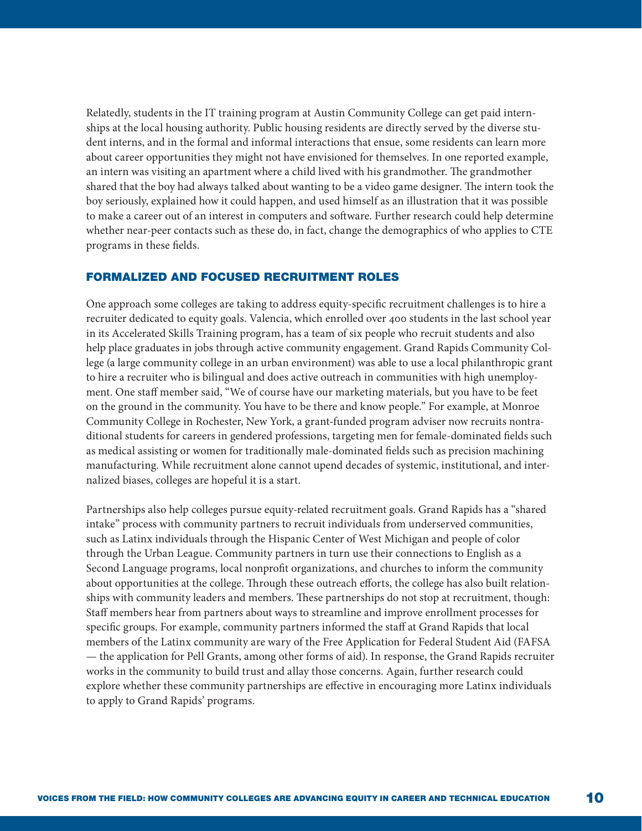Relatedly, students in the IT training program at Austin Community College can get paid internships at the local housing authority. Public housing residents are directly served by the diverse student interns, and in the formal and informal interactions that ensue, some residents can learn more about career opportunities they might not have envisioned for themselves. In one reported example, an intern was visiting an apartment where a child lived with his grandmother. The grandmother shared that the boy had always talked about wanting to be a video game designer. The intern took the boy seriously, explained how it could happen, and used himself as an illustration that it was possible to make a career out of an interest in computers and software. Further research could help determine whether near-peer contacts such as these do, in fact, change the demographics of who applies to CTE programs in these fields.

#### FORMALIZED AND FOCUSED RECRUITMENT ROLES

One approach some colleges are taking to address equity-specific recruitment challenges is to hire a recruiter dedicated to equity goals. Valencia, which enrolled over 400 students in the last school year in its Accelerated Skills Training program, has a team of six people who recruit students and also help place graduates in jobs through active community engagement. Grand Rapids Community College (a large community college in an urban environment) was able to use a local philanthropic grant to hire a recruiter who is bilingual and does active outreach in communities with high unemployment. One staff member said, "We of course have our marketing materials, but you have to be feet on the ground in the community. You have to be there and know people." For example, at Monroe Community College in Rochester, New York, a grant-funded program adviser now recruits nontraditional students for careers in gendered professions, targeting men for female-dominated fields such as medical assisting or women for traditionally male-dominated fields such as precision machining manufacturing. While recruitment alone cannot upend decades of systemic, institutional, and internalized biases, colleges are hopeful it is a start.

Partnerships also help colleges pursue equity-related recruitment goals. Grand Rapids has a "shared intake" process with community partners to recruit individuals from underserved communities, such as Latinx individuals through the Hispanic Center of West Michigan and people of color through the Urban League. Community partners in turn use their connections to English as a Second Language programs, local nonprofit organizations, and churches to inform the community about opportunities at the college. Through these outreach efforts, the college has also built relationships with community leaders and members. These partnerships do not stop at recruitment, though: Staff members hear from partners about ways to streamline and improve enrollment processes for specific groups. For example, community partners informed the staff at Grand Rapids that local members of the Latinx community are wary of the Free Application for Federal Student Aid (FAFSA — the application for Pell Grants, among other forms of aid). In response, the Grand Rapids recruiter works in the community to build trust and allay those concerns. Again, further research could explore whether these community partnerships are effective in encouraging more Latinx individuals to apply to Grand Rapids' programs.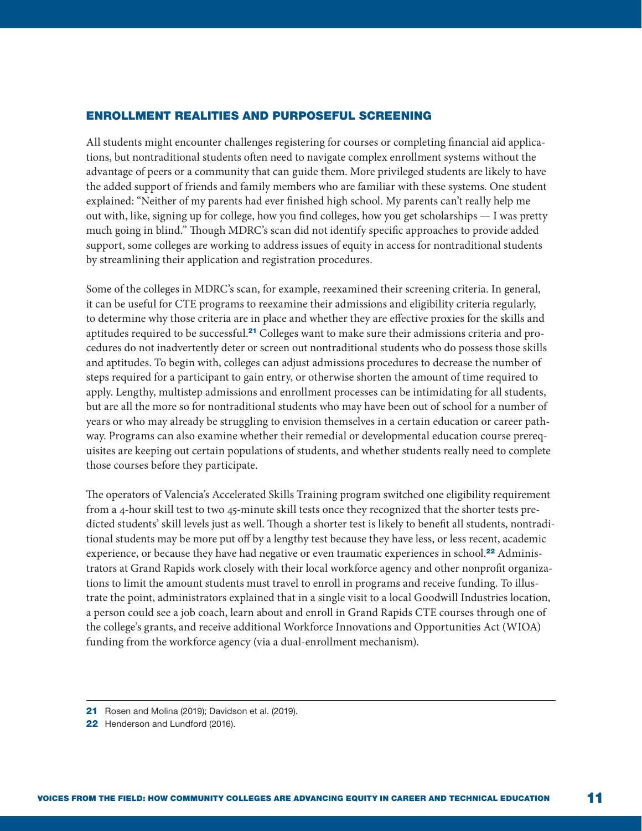#### ENROLLMENT REALITIES AND PURPOSEFUL SCREENING

All students might encounter challenges registering for courses or completing financial aid applications, but nontraditional students often need to navigate complex enrollment systems without the advantage of peers or a community that can guide them. More privileged students are likely to have the added support of friends and family members who are familiar with these systems. One student explained: "Neither of my parents had ever finished high school. My parents can't really help me out with, like, signing up for college, how you find colleges, how you get scholarships — I was pretty much going in blind." Though MDRC's scan did not identify specific approaches to provide added support, some colleges are working to address issues of equity in access for nontraditional students by streamlining their application and registration procedures.

Some of the colleges in MDRC's scan, for example, reexamined their screening criteria. In general, it can be useful for CTE programs to reexamine their admissions and eligibility criteria regularly, to determine why those criteria are in place and whether they are effective proxies for the skills and aptitudes required to be successful.21 Colleges want to make sure their admissions criteria and procedures do not inadvertently deter or screen out nontraditional students who do possess those skills and aptitudes. To begin with, colleges can adjust admissions procedures to decrease the number of steps required for a participant to gain entry, or otherwise shorten the amount of time required to apply. Lengthy, multistep admissions and enrollment processes can be intimidating for all students, but are all the more so for nontraditional students who may have been out of school for a number of years or who may already be struggling to envision themselves in a certain education or career pathway. Programs can also examine whether their remedial or developmental education course prerequisites are keeping out certain populations of students, and whether students really need to complete those courses before they participate.

The operators of Valencia's Accelerated Skills Training program switched one eligibility requirement from a 4-hour skill test to two 45-minute skill tests once they recognized that the shorter tests predicted students' skill levels just as well. Though a shorter test is likely to benefit all students, nontraditional students may be more put off by a lengthy test because they have less, or less recent, academic experience, or because they have had negative or even traumatic experiences in school.<sup>22</sup> Administrators at Grand Rapids work closely with their local workforce agency and other nonprofit organizations to limit the amount students must travel to enroll in programs and receive funding. To illustrate the point, administrators explained that in a single visit to a local Goodwill Industries location, a person could see a job coach, learn about and enroll in Grand Rapids CTE courses through one of the college's grants, and receive additional Workforce Innovations and Opportunities Act (WIOA) funding from the workforce agency (via a dual-enrollment mechanism).

- 21 Rosen and Molina (2019); Davidson et al. (2019).
- 22 Henderson and Lundford (2016).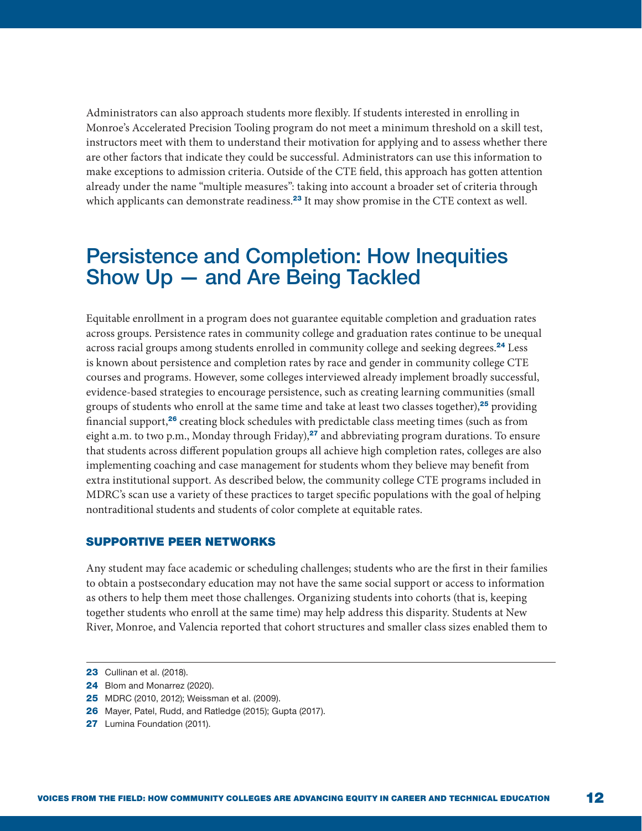Administrators can also approach students more flexibly. If students interested in enrolling in Monroe's Accelerated Precision Tooling program do not meet a minimum threshold on a skill test, instructors meet with them to understand their motivation for applying and to assess whether there are other factors that indicate they could be successful. Administrators can use this information to make exceptions to admission criteria. Outside of the CTE field, this approach has gotten attention already under the name "multiple measures": taking into account a broader set of criteria through which applicants can demonstrate readiness.<sup>23</sup> It may show promise in the CTE context as well.

### Persistence and Completion: How Inequities Show Up — and Are Being Tackled

Equitable enrollment in a program does not guarantee equitable completion and graduation rates across groups. Persistence rates in community college and graduation rates continue to be unequal across racial groups among students enrolled in community college and seeking degrees.<sup>24</sup> Less is known about persistence and completion rates by race and gender in community college CTE courses and programs. However, some colleges interviewed already implement broadly successful, evidence-based strategies to encourage persistence, such as creating learning communities (small groups of students who enroll at the same time and take at least two classes together), $25$  providing financial support,<sup>26</sup> creating block schedules with predictable class meeting times (such as from eight a.m. to two p.m., Monday through Friday), $27$  and abbreviating program durations. To ensure that students across different population groups all achieve high completion rates, colleges are also implementing coaching and case management for students whom they believe may benefit from extra institutional support. As described below, the community college CTE programs included in MDRC's scan use a variety of these practices to target specific populations with the goal of helping nontraditional students and students of color complete at equitable rates.

#### SUPPORTIVE PEER NETWORKS

Any student may face academic or scheduling challenges; students who are the first in their families to obtain a postsecondary education may not have the same social support or access to information as others to help them meet those challenges. Organizing students into cohorts (that is, keeping together students who enroll at the same time) may help address this disparity. Students at New River, Monroe, and Valencia reported that cohort structures and smaller class sizes enabled them to

- 25 MDRC (2010, 2012); Weissman et al. (2009).
- 26 Mayer, Patel, Rudd, and Ratledge (2015); Gupta (2017).
- 27 Lumina Foundation (2011).

**<sup>23</sup>** Cullinan et al. (2018).

<sup>24</sup> Blom and Monarrez (2020).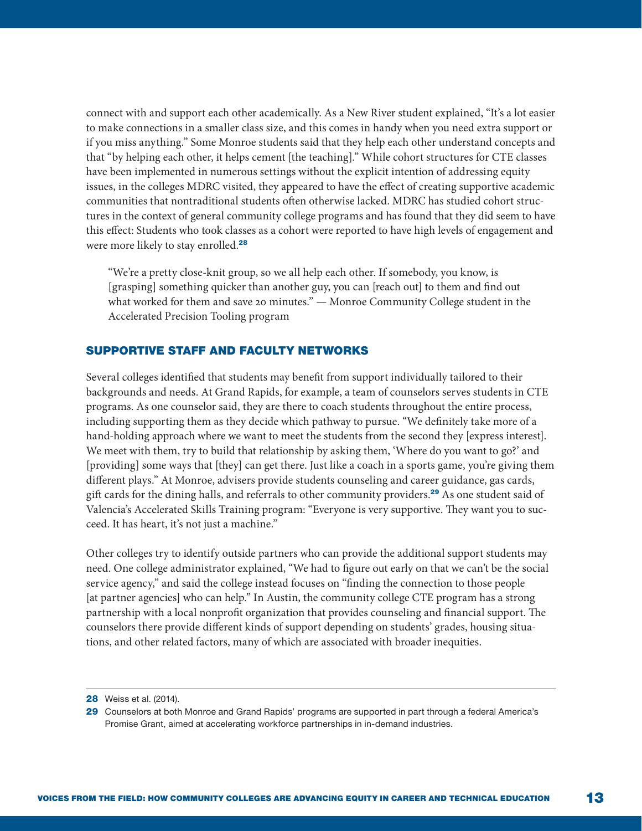connect with and support each other academically. As a New River student explained, "It's a lot easier to make connections in a smaller class size, and this comes in handy when you need extra support or if you miss anything." Some Monroe students said that they help each other understand concepts and that "by helping each other, it helps cement [the teaching]." While cohort structures for CTE classes have been implemented in numerous settings without the explicit intention of addressing equity issues, in the colleges MDRC visited, they appeared to have the effect of creating supportive academic communities that nontraditional students often otherwise lacked. MDRC has studied cohort structures in the context of general community college programs and has found that they did seem to have this effect: Students who took classes as a cohort were reported to have high levels of engagement and were more likely to stay enrolled.<sup>28</sup>

"We're a pretty close-knit group, so we all help each other. If somebody, you know, is [grasping] something quicker than another guy, you can [reach out] to them and find out what worked for them and save 20 minutes." — Monroe Community College student in the Accelerated Precision Tooling program

#### SUPPORTIVE STAFF AND FACULTY NETWORKS

Several colleges identified that students may benefit from support individually tailored to their backgrounds and needs. At Grand Rapids, for example, a team of counselors serves students in CTE programs. As one counselor said, they are there to coach students throughout the entire process, including supporting them as they decide which pathway to pursue. "We definitely take more of a hand-holding approach where we want to meet the students from the second they [express interest]. We meet with them, try to build that relationship by asking them, 'Where do you want to go?' and [providing] some ways that [they] can get there. Just like a coach in a sports game, you're giving them different plays." At Monroe, advisers provide students counseling and career guidance, gas cards, gift cards for the dining halls, and referrals to other community providers.<sup>29</sup> As one student said of Valencia's Accelerated Skills Training program: "Everyone is very supportive. They want you to succeed. It has heart, it's not just a machine."

Other colleges try to identify outside partners who can provide the additional support students may need. One college administrator explained, "We had to figure out early on that we can't be the social service agency," and said the college instead focuses on "finding the connection to those people [at partner agencies] who can help." In Austin, the community college CTE program has a strong partnership with a local nonprofit organization that provides counseling and financial support. The counselors there provide different kinds of support depending on students' grades, housing situations, and other related factors, many of which are associated with broader inequities.

**<sup>28</sup>** Weiss et al. (2014).

<sup>29</sup> Counselors at both Monroe and Grand Rapids' programs are supported in part through a federal America's Promise Grant, aimed at accelerating workforce partnerships in in-demand industries.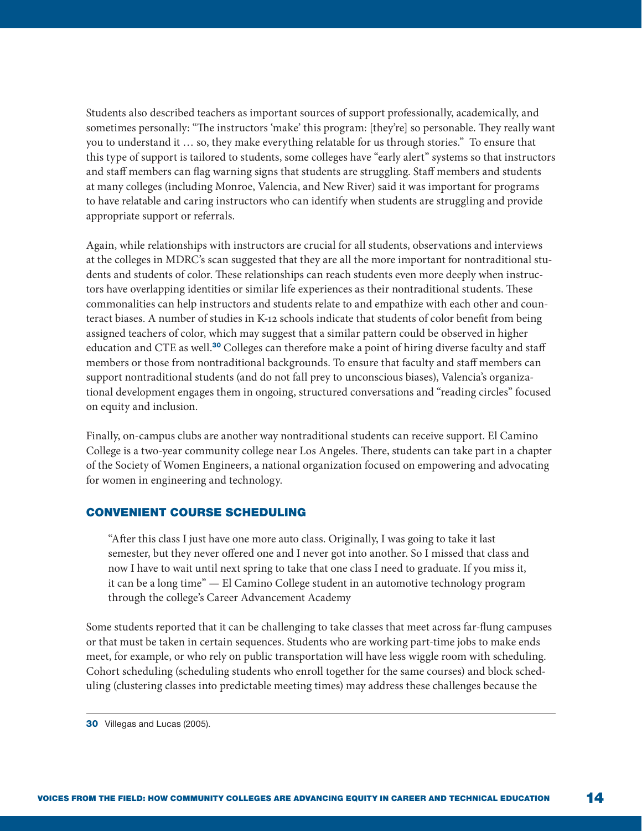Students also described teachers as important sources of support professionally, academically, and sometimes personally: "The instructors 'make' this program: [they're] so personable. They really want you to understand it … so, they make everything relatable for us through stories." To ensure that this type of support is tailored to students, some colleges have "early alert" systems so that instructors and staff members can flag warning signs that students are struggling. Staff members and students at many colleges (including Monroe, Valencia, and New River) said it was important for programs to have relatable and caring instructors who can identify when students are struggling and provide appropriate support or referrals.

Again, while relationships with instructors are crucial for all students, observations and interviews at the colleges in MDRC's scan suggested that they are all the more important for nontraditional students and students of color. These relationships can reach students even more deeply when instructors have overlapping identities or similar life experiences as their nontraditional students. These commonalities can help instructors and students relate to and empathize with each other and counteract biases. A number of studies in K-12 schools indicate that students of color benefit from being assigned teachers of color, which may suggest that a similar pattern could be observed in higher education and CTE as well.<sup>30</sup> Colleges can therefore make a point of hiring diverse faculty and staff members or those from nontraditional backgrounds. To ensure that faculty and staff members can support nontraditional students (and do not fall prey to unconscious biases), Valencia's organizational development engages them in ongoing, structured conversations and "reading circles" focused on equity and inclusion.

Finally, on-campus clubs are another way nontraditional students can receive support. El Camino College is a two-year community college near Los Angeles. There, students can take part in a chapter of the Society of Women Engineers, a national organization focused on empowering and advocating for women in engineering and technology.

#### CONVENIENT COURSE SCHEDULING

"After this class I just have one more auto class. Originally, I was going to take it last semester, but they never offered one and I never got into another. So I missed that class and now I have to wait until next spring to take that one class I need to graduate. If you miss it, it can be a long time" — El Camino College student in an automotive technology program through the college's Career Advancement Academy

Some students reported that it can be challenging to take classes that meet across far-flung campuses or that must be taken in certain sequences. Students who are working part-time jobs to make ends meet, for example, or who rely on public transportation will have less wiggle room with scheduling. Cohort scheduling (scheduling students who enroll together for the same courses) and block scheduling (clustering classes into predictable meeting times) may address these challenges because the

<sup>30</sup> Villegas and Lucas (2005).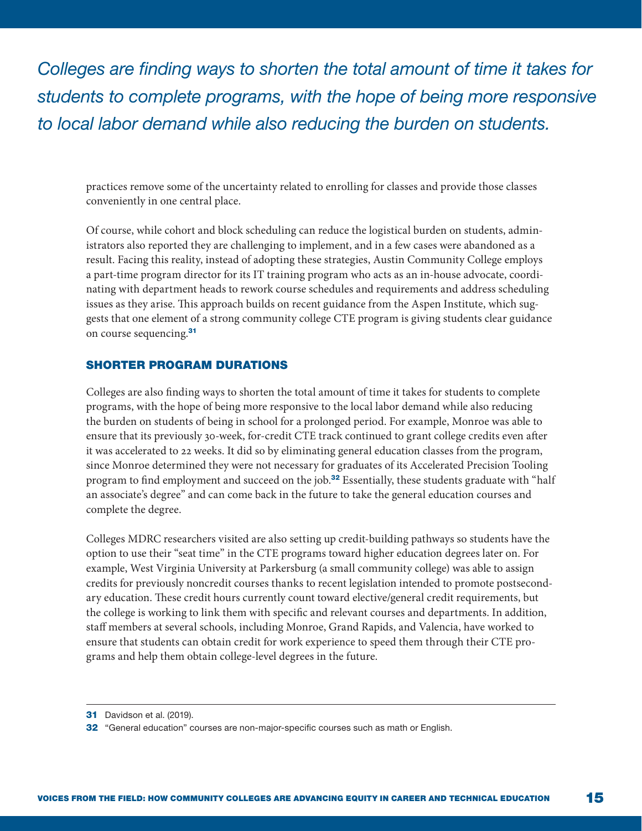*Colleges are finding ways to shorten the total amount of time it takes for students to complete programs, with the hope of being more responsive to local labor demand while also reducing the burden on students.*

practices remove some of the uncertainty related to enrolling for classes and provide those classes conveniently in one central place.

Of course, while cohort and block scheduling can reduce the logistical burden on students, administrators also reported they are challenging to implement, and in a few cases were abandoned as a result. Facing this reality, instead of adopting these strategies, Austin Community College employs a part-time program director for its IT training program who acts as an in-house advocate, coordinating with department heads to rework course schedules and requirements and address scheduling issues as they arise. This approach builds on recent guidance from the Aspen Institute, which suggests that one element of a strong community college CTE program is giving students clear guidance on course sequencing.<sup>31</sup>

#### SHORTER PROGRAM DURATIONS

Colleges are also finding ways to shorten the total amount of time it takes for students to complete programs, with the hope of being more responsive to the local labor demand while also reducing the burden on students of being in school for a prolonged period. For example, Monroe was able to ensure that its previously 30-week, for-credit CTE track continued to grant college credits even after it was accelerated to 22 weeks. It did so by eliminating general education classes from the program, since Monroe determined they were not necessary for graduates of its Accelerated Precision Tooling program to find employment and succeed on the job.<sup>32</sup> Essentially, these students graduate with "half an associate's degree" and can come back in the future to take the general education courses and complete the degree.

Colleges MDRC researchers visited are also setting up credit-building pathways so students have the option to use their "seat time" in the CTE programs toward higher education degrees later on. For example, West Virginia University at Parkersburg (a small community college) was able to assign credits for previously noncredit courses thanks to recent legislation intended to promote postsecondary education. These credit hours currently count toward elective/general credit requirements, but the college is working to link them with specific and relevant courses and departments. In addition, staff members at several schools, including Monroe, Grand Rapids, and Valencia, have worked to ensure that students can obtain credit for work experience to speed them through their CTE programs and help them obtain college-level degrees in the future.

**<sup>31</sup>** Davidson et al. (2019).

<sup>32</sup> "General education" courses are non-major-specific courses such as math or English.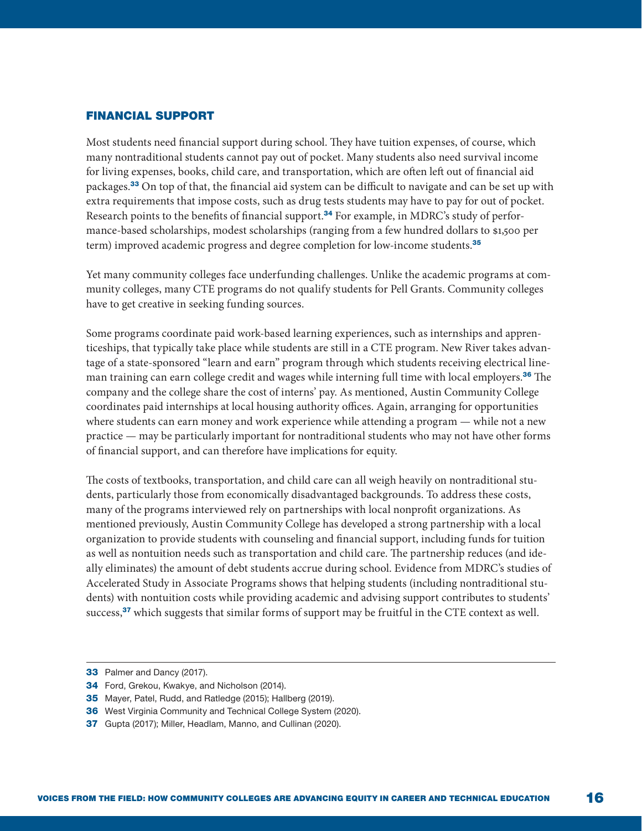#### FINANCIAL SUPPORT

Most students need financial support during school. They have tuition expenses, of course, which many nontraditional students cannot pay out of pocket. Many students also need survival income for living expenses, books, child care, and transportation, which are often left out of financial aid packages.<sup>33</sup> On top of that, the financial aid system can be difficult to navigate and can be set up with extra requirements that impose costs, such as drug tests students may have to pay for out of pocket. Research points to the benefits of financial support.<sup>34</sup> For example, in MDRC's study of performance-based scholarships, modest scholarships (ranging from a few hundred dollars to \$1,500 per term) improved academic progress and degree completion for low-income students.<sup>35</sup>

Yet many community colleges face underfunding challenges. Unlike the academic programs at community colleges, many CTE programs do not qualify students for Pell Grants. Community colleges have to get creative in seeking funding sources.

Some programs coordinate paid work-based learning experiences, such as internships and apprenticeships, that typically take place while students are still in a CTE program. New River takes advantage of a state-sponsored "learn and earn" program through which students receiving electrical lineman training can earn college credit and wages while interning full time with local employers.<sup>36</sup> The company and the college share the cost of interns' pay. As mentioned, Austin Community College coordinates paid internships at local housing authority offices. Again, arranging for opportunities where students can earn money and work experience while attending a program — while not a new practice — may be particularly important for nontraditional students who may not have other forms of financial support, and can therefore have implications for equity.

The costs of textbooks, transportation, and child care can all weigh heavily on nontraditional students, particularly those from economically disadvantaged backgrounds. To address these costs, many of the programs interviewed rely on partnerships with local nonprofit organizations. As mentioned previously, Austin Community College has developed a strong partnership with a local organization to provide students with counseling and financial support, including funds for tuition as well as nontuition needs such as transportation and child care. The partnership reduces (and ideally eliminates) the amount of debt students accrue during school. Evidence from MDRC's studies of Accelerated Study in Associate Programs shows that helping students (including nontraditional students) with nontuition costs while providing academic and advising support contributes to students' success, $37$  which suggests that similar forms of support may be fruitful in the CTE context as well.

- 36 West Virginia Community and Technical College System (2020).
- 37 Gupta (2017); Miller, Headlam, Manno, and Cullinan (2020).

<sup>33</sup> Palmer and Dancy (2017).

<sup>34</sup> Ford, Grekou, Kwakye, and Nicholson (2014).

<sup>35</sup> Mayer, Patel, Rudd, and Ratledge (2015); Hallberg (2019).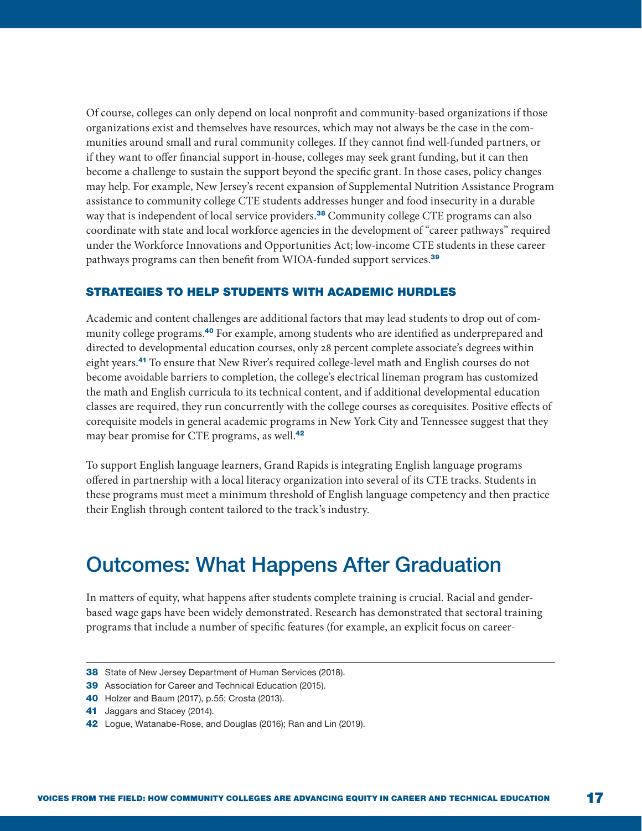Of course, colleges can only depend on local nonprofit and community-based organizations if those organizations exist and themselves have resources, which may not always be the case in the communities around small and rural community colleges. If they cannot find well-funded partners, or if they want to offer financial support in-house, colleges may seek grant funding, but it can then become a challenge to sustain the support beyond the specific grant. In those cases, policy changes may help. For example, New Jersey's recent expansion of Supplemental Nutrition Assistance Program assistance to community college CTE students addresses hunger and food insecurity in a durable way that is independent of local service providers.<sup>38</sup> Community college CTE programs can also coordinate with state and local workforce agencies in the development of "career pathways" required under the Workforce Innovations and Opportunities Act; low-income CTE students in these career pathways programs can then benefit from WIOA-funded support services.<sup>39</sup>

#### STRATEGIES TO HELP STUDENTS WITH ACADEMIC HURDLES

Academic and content challenges are additional factors that may lead students to drop out of community college programs.<sup>40</sup> For example, among students who are identified as underprepared and directed to developmental education courses, only 28 percent complete associate's degrees within eight years.<sup>41</sup> To ensure that New River's required college-level math and English courses do not become avoidable barriers to completion, the college's electrical lineman program has customized the math and English curricula to its technical content, and if additional developmental education classes are required, they run concurrently with the college courses as corequisites. Positive effects of corequisite models in general academic programs in New York City and Tennessee suggest that they may bear promise for CTE programs, as well.<sup>42</sup>

To support English language learners, Grand Rapids is integrating English language programs offered in partnership with a local literacy organization into several of its CTE tracks. Students in these programs must meet a minimum threshold of English language competency and then practice their English through content tailored to the track's industry.

### Outcomes: What Happens After Graduation

In matters of equity, what happens after students complete training is crucial. Racial and genderbased wage gaps have been widely demonstrated. Research has demonstrated that sectoral training programs that include a number of specific features (for example, an explicit focus on career-

- 38 State of New Jersey Department of Human Services (2018).
- 39 Association for Career and Technical Education (2015).
- 40 Holzer and Baum (2017), p.55; Crosta (2013).
- 41 Jaggars and Stacey (2014).
- 42 Logue, Watanabe-Rose, and Douglas (2016); Ran and Lin (2019).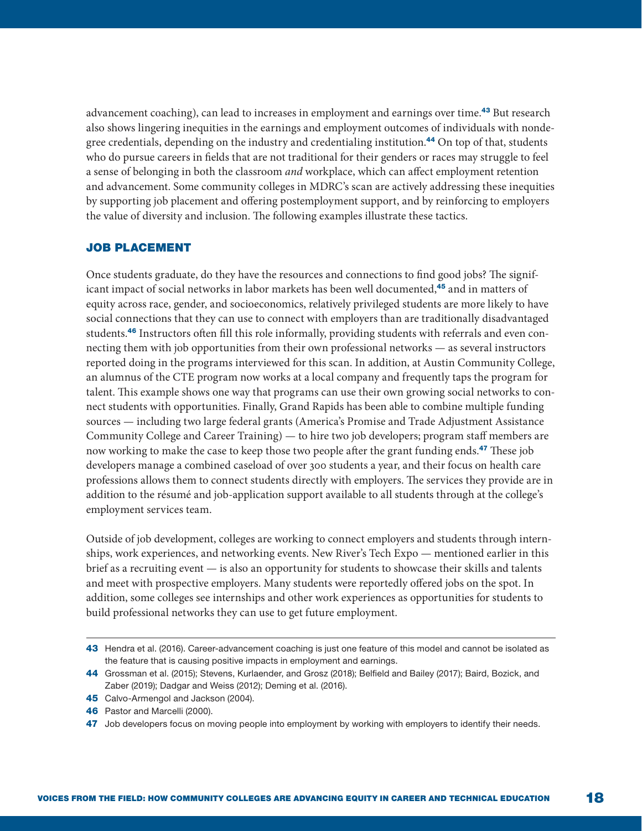advancement coaching), can lead to increases in employment and earnings over time.<sup>43</sup> But research also shows lingering inequities in the earnings and employment outcomes of individuals with nondegree credentials, depending on the industry and credentialing institution.<sup>44</sup> On top of that, students who do pursue careers in fields that are not traditional for their genders or races may struggle to feel a sense of belonging in both the classroom *and* workplace, which can affect employment retention and advancement. Some community colleges in MDRC's scan are actively addressing these inequities by supporting job placement and offering postemployment support, and by reinforcing to employers the value of diversity and inclusion. The following examples illustrate these tactics.

#### JOB PLACEMENT

Once students graduate, do they have the resources and connections to find good jobs? The significant impact of social networks in labor markets has been well documented,<sup>45</sup> and in matters of equity across race, gender, and socioeconomics, relatively privileged students are more likely to have social connections that they can use to connect with employers than are traditionally disadvantaged students.46 Instructors often fill this role informally, providing students with referrals and even connecting them with job opportunities from their own professional networks — as several instructors reported doing in the programs interviewed for this scan. In addition, at Austin Community College, an alumnus of the CTE program now works at a local company and frequently taps the program for talent. This example shows one way that programs can use their own growing social networks to connect students with opportunities. Finally, Grand Rapids has been able to combine multiple funding sources — including two large federal grants (America's Promise and Trade Adjustment Assistance Community College and Career Training) — to hire two job developers; program staff members are now working to make the case to keep those two people after the grant funding ends.<sup>47</sup> These job developers manage a combined caseload of over 300 students a year, and their focus on health care professions allows them to connect students directly with employers. The services they provide are in addition to the résumé and job-application support available to all students through at the college's employment services team.

Outside of job development, colleges are working to connect employers and students through internships, work experiences, and networking events. New River's Tech Expo — mentioned earlier in this brief as a recruiting event — is also an opportunity for students to showcase their skills and talents and meet with prospective employers. Many students were reportedly offered jobs on the spot. In addition, some colleges see internships and other work experiences as opportunities for students to build professional networks they can use to get future employment.

<sup>43</sup> Hendra et al. (2016). Career-advancement coaching is just one feature of this model and cannot be isolated as the feature that is causing positive impacts in employment and earnings.

<sup>44</sup> Grossman et al. (2015); Stevens, Kurlaender, and Grosz (2018); Belfield and Bailey (2017); Baird, Bozick, and Zaber (2019); Dadgar and Weiss (2012); Deming et al. (2016).

<sup>45</sup> Calvo-Armengol and Jackson (2004).

<sup>46</sup> Pastor and Marcelli (2000).

<sup>47</sup> Job developers focus on moving people into employment by working with employers to identify their needs.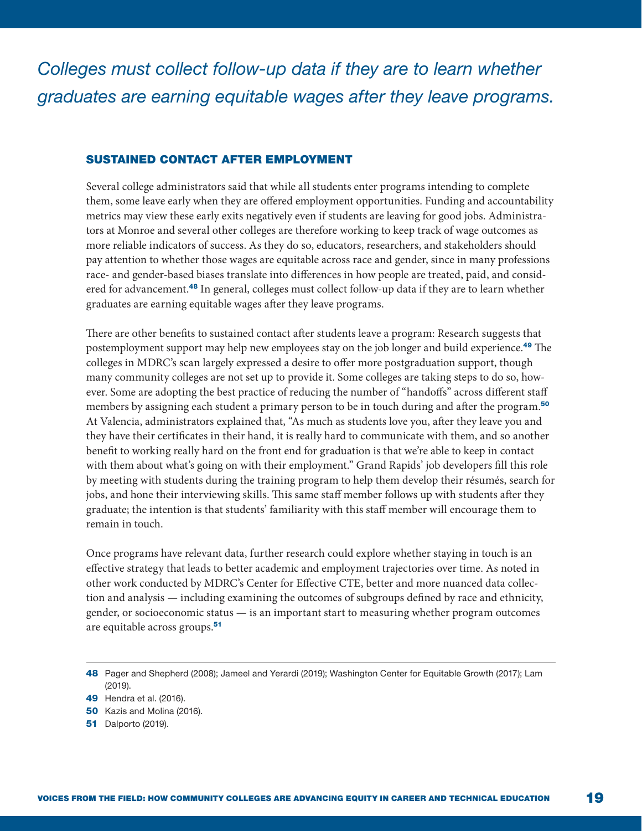#### SUSTAINED CONTACT AFTER EMPLOYMENT

Several college administrators said that while all students enter programs intending to complete them, some leave early when they are offered employment opportunities. Funding and accountability metrics may view these early exits negatively even if students are leaving for good jobs. Administrators at Monroe and several other colleges are therefore working to keep track of wage outcomes as more reliable indicators of success. As they do so, educators, researchers, and stakeholders should pay attention to whether those wages are equitable across race and gender, since in many professions race- and gender-based biases translate into differences in how people are treated, paid, and considered for advancement.<sup>48</sup> In general, colleges must collect follow-up data if they are to learn whether graduates are earning equitable wages after they leave programs.

There are other benefits to sustained contact after students leave a program: Research suggests that postemployment support may help new employees stay on the job longer and build experience.<sup>49</sup> The colleges in MDRC's scan largely expressed a desire to offer more postgraduation support, though many community colleges are not set up to provide it. Some colleges are taking steps to do so, however. Some are adopting the best practice of reducing the number of "handoffs" across different staff members by assigning each student a primary person to be in touch during and after the program.<sup>50</sup> At Valencia, administrators explained that, "As much as students love you, after they leave you and they have their certificates in their hand, it is really hard to communicate with them, and so another benefit to working really hard on the front end for graduation is that we're able to keep in contact with them about what's going on with their employment." Grand Rapids' job developers fill this role by meeting with students during the training program to help them develop their résumés, search for jobs, and hone their interviewing skills. This same staff member follows up with students after they graduate; the intention is that students' familiarity with this staff member will encourage them to remain in touch.

Once programs have relevant data, further research could explore whether staying in touch is an effective strategy that leads to better academic and employment trajectories over time. As noted in other work conducted by MDRC's Center for Effective CTE, better and more nuanced data collection and analysis — including examining the outcomes of subgroups defined by race and ethnicity, gender, or socioeconomic status — is an important start to measuring whether program outcomes are equitable across groups.<sup>51</sup>

**51** Dalporto (2019).

<sup>48</sup> Pager and Shepherd (2008); Jameel and Yerardi (2019); Washington Center for Equitable Growth (2017); Lam (2019).

<sup>49</sup> Hendra et al. (2016).

<sup>50</sup> Kazis and Molina (2016).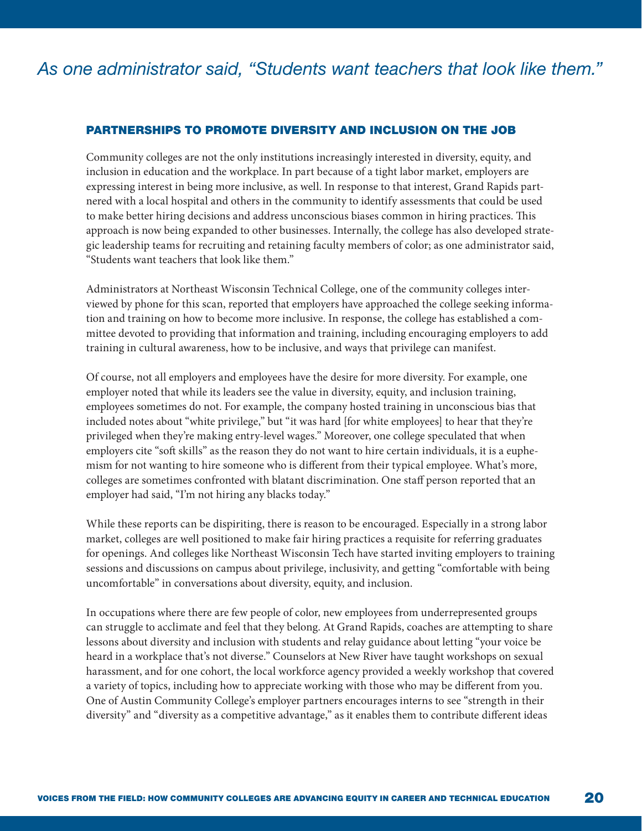#### PARTNERSHIPS TO PROMOTE DIVERSITY AND INCLUSION ON THE JOB

Community colleges are not the only institutions increasingly interested in diversity, equity, and inclusion in education and the workplace. In part because of a tight labor market, employers are expressing interest in being more inclusive, as well. In response to that interest, Grand Rapids partnered with a local hospital and others in the community to identify assessments that could be used to make better hiring decisions and address unconscious biases common in hiring practices. This approach is now being expanded to other businesses. Internally, the college has also developed strategic leadership teams for recruiting and retaining faculty members of color; as one administrator said, "Students want teachers that look like them."

Administrators at Northeast Wisconsin Technical College, one of the community colleges interviewed by phone for this scan, reported that employers have approached the college seeking information and training on how to become more inclusive. In response, the college has established a committee devoted to providing that information and training, including encouraging employers to add training in cultural awareness, how to be inclusive, and ways that privilege can manifest.

Of course, not all employers and employees have the desire for more diversity. For example, one employer noted that while its leaders see the value in diversity, equity, and inclusion training, employees sometimes do not. For example, the company hosted training in unconscious bias that included notes about "white privilege," but "it was hard [for white employees] to hear that they're privileged when they're making entry-level wages." Moreover, one college speculated that when employers cite "soft skills" as the reason they do not want to hire certain individuals, it is a euphemism for not wanting to hire someone who is different from their typical employee. What's more, colleges are sometimes confronted with blatant discrimination. One staff person reported that an employer had said, "I'm not hiring any blacks today."

While these reports can be dispiriting, there is reason to be encouraged. Especially in a strong labor market, colleges are well positioned to make fair hiring practices a requisite for referring graduates for openings. And colleges like Northeast Wisconsin Tech have started inviting employers to training sessions and discussions on campus about privilege, inclusivity, and getting "comfortable with being uncomfortable" in conversations about diversity, equity, and inclusion.

In occupations where there are few people of color, new employees from underrepresented groups can struggle to acclimate and feel that they belong. At Grand Rapids, coaches are attempting to share lessons about diversity and inclusion with students and relay guidance about letting "your voice be heard in a workplace that's not diverse." Counselors at New River have taught workshops on sexual harassment, and for one cohort, the local workforce agency provided a weekly workshop that covered a variety of topics, including how to appreciate working with those who may be different from you. One of Austin Community College's employer partners encourages interns to see "strength in their diversity" and "diversity as a competitive advantage," as it enables them to contribute different ideas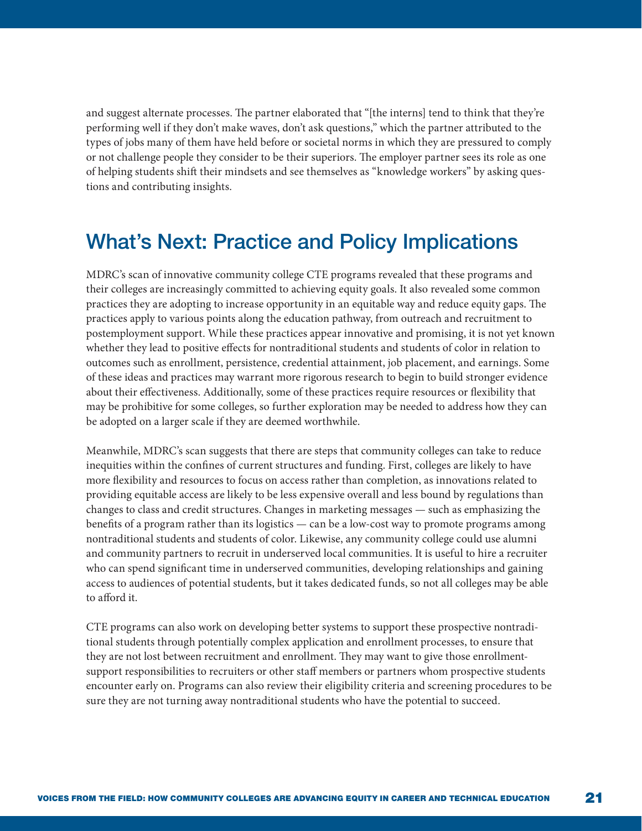and suggest alternate processes. The partner elaborated that "[the interns] tend to think that they're performing well if they don't make waves, don't ask questions," which the partner attributed to the types of jobs many of them have held before or societal norms in which they are pressured to comply or not challenge people they consider to be their superiors. The employer partner sees its role as one of helping students shift their mindsets and see themselves as "knowledge workers" by asking questions and contributing insights.

## What's Next: Practice and Policy Implications

MDRC's scan of innovative community college CTE programs revealed that these programs and their colleges are increasingly committed to achieving equity goals. It also revealed some common practices they are adopting to increase opportunity in an equitable way and reduce equity gaps. The practices apply to various points along the education pathway, from outreach and recruitment to postemployment support. While these practices appear innovative and promising, it is not yet known whether they lead to positive effects for nontraditional students and students of color in relation to outcomes such as enrollment, persistence, credential attainment, job placement, and earnings. Some of these ideas and practices may warrant more rigorous research to begin to build stronger evidence about their effectiveness. Additionally, some of these practices require resources or flexibility that may be prohibitive for some colleges, so further exploration may be needed to address how they can be adopted on a larger scale if they are deemed worthwhile.

Meanwhile, MDRC's scan suggests that there are steps that community colleges can take to reduce inequities within the confines of current structures and funding. First, colleges are likely to have more flexibility and resources to focus on access rather than completion, as innovations related to providing equitable access are likely to be less expensive overall and less bound by regulations than changes to class and credit structures. Changes in marketing messages — such as emphasizing the benefits of a program rather than its logistics — can be a low-cost way to promote programs among nontraditional students and students of color. Likewise, any community college could use alumni and community partners to recruit in underserved local communities. It is useful to hire a recruiter who can spend significant time in underserved communities, developing relationships and gaining access to audiences of potential students, but it takes dedicated funds, so not all colleges may be able to afford it.

CTE programs can also work on developing better systems to support these prospective nontraditional students through potentially complex application and enrollment processes, to ensure that they are not lost between recruitment and enrollment. They may want to give those enrollmentsupport responsibilities to recruiters or other staff members or partners whom prospective students encounter early on. Programs can also review their eligibility criteria and screening procedures to be sure they are not turning away nontraditional students who have the potential to succeed.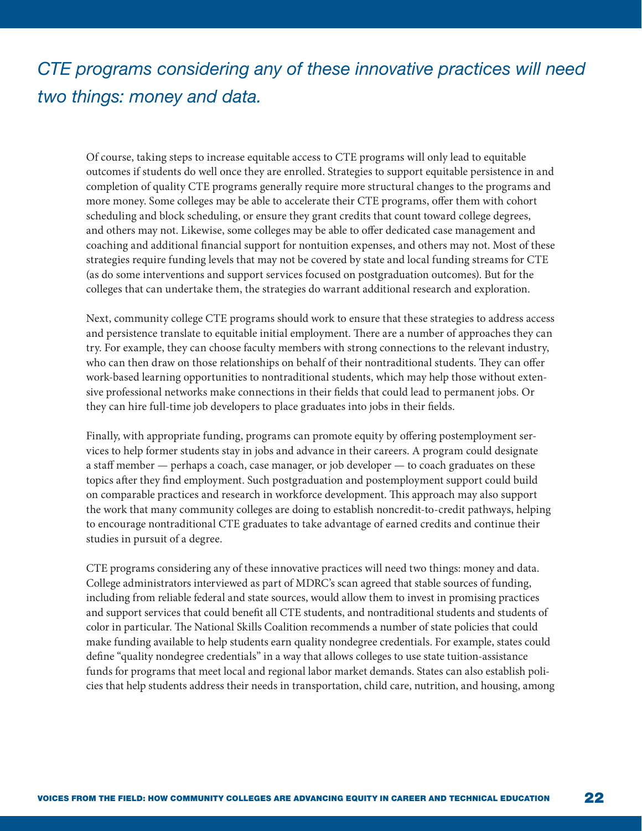## *CTE programs considering any of these innovative practices will need two things: money and data.*

Of course, taking steps to increase equitable access to CTE programs will only lead to equitable outcomes if students do well once they are enrolled. Strategies to support equitable persistence in and completion of quality CTE programs generally require more structural changes to the programs and more money. Some colleges may be able to accelerate their CTE programs, offer them with cohort scheduling and block scheduling, or ensure they grant credits that count toward college degrees, and others may not. Likewise, some colleges may be able to offer dedicated case management and coaching and additional financial support for nontuition expenses, and others may not. Most of these strategies require funding levels that may not be covered by state and local funding streams for CTE (as do some interventions and support services focused on postgraduation outcomes). But for the colleges that can undertake them, the strategies do warrant additional research and exploration.

Next, community college CTE programs should work to ensure that these strategies to address access and persistence translate to equitable initial employment. There are a number of approaches they can try. For example, they can choose faculty members with strong connections to the relevant industry, who can then draw on those relationships on behalf of their nontraditional students. They can offer work-based learning opportunities to nontraditional students, which may help those without extensive professional networks make connections in their fields that could lead to permanent jobs. Or they can hire full-time job developers to place graduates into jobs in their fields.

Finally, with appropriate funding, programs can promote equity by offering postemployment services to help former students stay in jobs and advance in their careers. A program could designate a staff member — perhaps a coach, case manager, or job developer — to coach graduates on these topics after they find employment. Such postgraduation and postemployment support could build on comparable practices and research in workforce development. This approach may also support the work that many community colleges are doing to establish noncredit-to-credit pathways, helping to encourage nontraditional CTE graduates to take advantage of earned credits and continue their studies in pursuit of a degree.

CTE programs considering any of these innovative practices will need two things: money and data. College administrators interviewed as part of MDRC's scan agreed that stable sources of funding, including from reliable federal and state sources, would allow them to invest in promising practices and support services that could benefit all CTE students, and nontraditional students and students of color in particular. The National Skills Coalition recommends a number of state policies that could make funding available to help students earn quality nondegree credentials. For example, states could define "quality nondegree credentials" in a way that allows colleges to use state tuition-assistance funds for programs that meet local and regional labor market demands. States can also establish policies that help students address their needs in transportation, child care, nutrition, and housing, among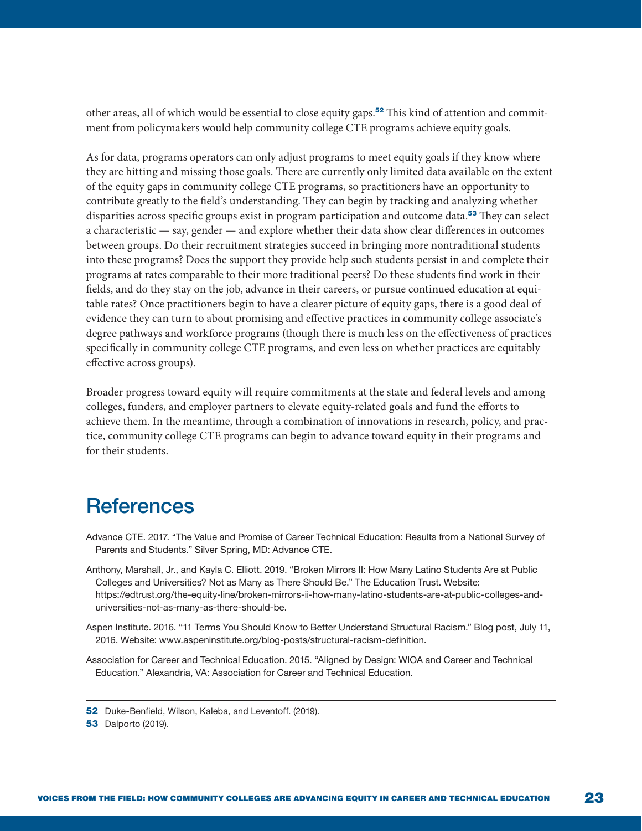other areas, all of which would be essential to close equity gaps.52 This kind of attention and commitment from policymakers would help community college CTE programs achieve equity goals.

As for data, programs operators can only adjust programs to meet equity goals if they know where they are hitting and missing those goals. There are currently only limited data available on the extent of the equity gaps in community college CTE programs, so practitioners have an opportunity to contribute greatly to the field's understanding. They can begin by tracking and analyzing whether disparities across specific groups exist in program participation and outcome data.<sup>53</sup> They can select a characteristic — say, gender — and explore whether their data show clear differences in outcomes between groups. Do their recruitment strategies succeed in bringing more nontraditional students into these programs? Does the support they provide help such students persist in and complete their programs at rates comparable to their more traditional peers? Do these students find work in their fields, and do they stay on the job, advance in their careers, or pursue continued education at equitable rates? Once practitioners begin to have a clearer picture of equity gaps, there is a good deal of evidence they can turn to about promising and effective practices in community college associate's degree pathways and workforce programs (though there is much less on the effectiveness of practices specifically in community college CTE programs, and even less on whether practices are equitably effective across groups).

Broader progress toward equity will require commitments at the state and federal levels and among colleges, funders, and employer partners to elevate equity-related goals and fund the efforts to achieve them. In the meantime, through a combination of innovations in research, policy, and practice, community college CTE programs can begin to advance toward equity in their programs and for their students.

### **References**

- Advance CTE. 2017. "The Value and Promise of Career Technical Education: Results from a National Survey of Parents and Students." Silver Spring, MD: Advance CTE.
- Anthony, Marshall, Jr., and Kayla C. Elliott. 2019. "Broken Mirrors II: How Many Latino Students Are at Public Colleges and Universities? Not as Many as There Should Be." The Education Trust. Website: https://edtrust.org/the-equity-line/broken-mirrors-ii-how-many-latino-students-are-at-public-colleges-anduniversities-not-as-many-as-there-should-be.
- Aspen Institute. 2016. "11 Terms You Should Know to Better Understand Structural Racism." Blog post, July 11, 2016. Website: www.aspeninstitute.org/blog-posts/structural-racism-definition.
- Association for Career and Technical Education. 2015. "Aligned by Design: WIOA and Career and Technical Education." Alexandria, VA: Association for Career and Technical Education.

<sup>52</sup> Duke-Benfield, Wilson, Kaleba, and Leventoff. (2019).

**<sup>53</sup>** Dalporto (2019).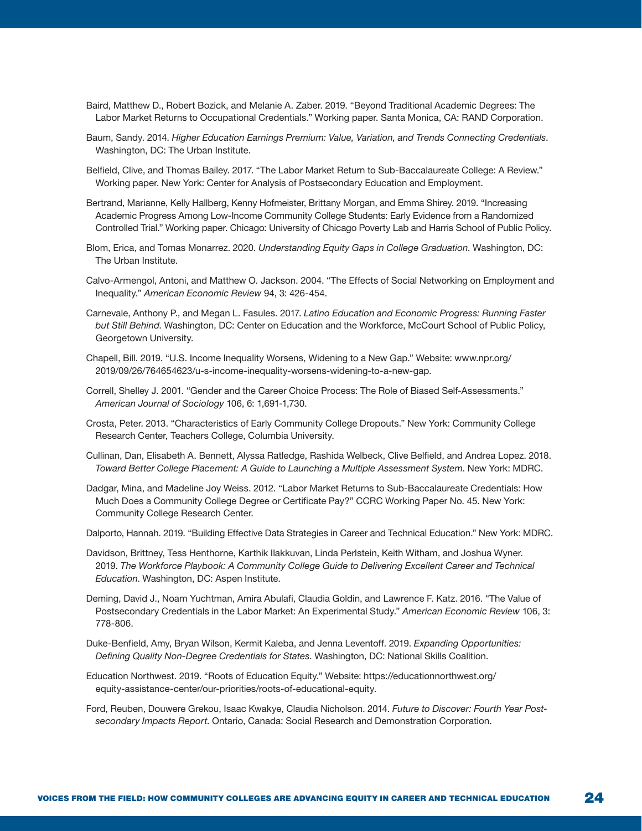- Baird, Matthew D., Robert Bozick, and Melanie A. Zaber. 2019. "Beyond Traditional Academic Degrees: The Labor Market Returns to Occupational Credentials." Working paper. Santa Monica, CA: RAND Corporation.
- Baum, Sandy. 2014. *Higher Education Earnings Premium: Value, Variation, and Trends Connecting Credentials*. Washington, DC: The Urban Institute.
- Belfield, Clive, and Thomas Bailey. 2017. "The Labor Market Return to Sub-Baccalaureate College: A Review." Working paper. New York: Center for Analysis of Postsecondary Education and Employment.
- Bertrand, Marianne, Kelly Hallberg, Kenny Hofmeister, Brittany Morgan, and Emma Shirey. 2019. "Increasing Academic Progress Among Low-Income Community College Students: Early Evidence from a Randomized Controlled Trial." Working paper. Chicago: University of Chicago Poverty Lab and Harris School of Public Policy.
- Blom, Erica, and Tomas Monarrez. 2020. *Understanding Equity Gaps in College Graduation*. Washington, DC: The Urban Institute.
- Calvo-Armengol, Antoni, and Matthew O. Jackson. 2004. "The Effects of Social Networking on Employment and Inequality." *American Economic Review* 94, 3: 426-454.
- Carnevale, Anthony P., and Megan L. Fasules. 2017. *Latino Education and Economic Progress: Running Faster but Still Behind*. Washington, DC: Center on Education and the Workforce, McCourt School of Public Policy, Georgetown University.
- Chapell, Bill. 2019. "U.S. Income Inequality Worsens, Widening to a New Gap." Website: www.npr.org/ 2019/09/26/764654623/u-s-income-inequality-worsens-widening-to-a-new-gap.
- Correll, Shelley J. 2001. "Gender and the Career Choice Process: The Role of Biased Self-Assessments." *American Journal of Sociology* 106, 6: 1,691-1,730.
- Crosta, Peter. 2013. "Characteristics of Early Community College Dropouts." New York: Community College Research Center, Teachers College, Columbia University.
- Cullinan, Dan, Elisabeth A. Bennett, Alyssa Ratledge, Rashida Welbeck, Clive Belfield, and Andrea Lopez. 2018. *Toward Better College Placement: A Guide to Launching a Multiple Assessment System*. New York: MDRC.
- Dadgar, Mina, and Madeline Joy Weiss. 2012. "Labor Market Returns to Sub-Baccalaureate Credentials: How Much Does a Community College Degree or Certificate Pay?" CCRC Working Paper No. 45. New York: Community College Research Center.
- Dalporto, Hannah. 2019. "Building Effective Data Strategies in Career and Technical Education." New York: MDRC.
- Davidson, Brittney, Tess Henthorne, Karthik Ilakkuvan, Linda Perlstein, Keith Witham, and Joshua Wyner. 2019. *The Workforce Playbook: A Community College Guide to Delivering Excellent Career and Technical Education*. Washington, DC: Aspen Institute.
- Deming, David J., Noam Yuchtman, Amira Abulafi, Claudia Goldin, and Lawrence F. Katz. 2016. "The Value of Postsecondary Credentials in the Labor Market: An Experimental Study." *American Economic Review* 106, 3: 778-806.
- Duke-Benfield, Amy, Bryan Wilson, Kermit Kaleba, and Jenna Leventoff. 2019. *Expanding Opportunities: Defining Quality Non-Degree Credentials for States*. Washington, DC: National Skills Coalition.
- Education Northwest. 2019. "Roots of Education Equity." Website: https://educationnorthwest.org/ equity-assistance-center/our-priorities/roots-of-educational-equity.
- Ford, Reuben, Douwere Grekou, Isaac Kwakye, Claudia Nicholson. 2014. *Future to Discover: Fourth Year Postsecondary Impacts Report*. Ontario, Canada: Social Research and Demonstration Corporation.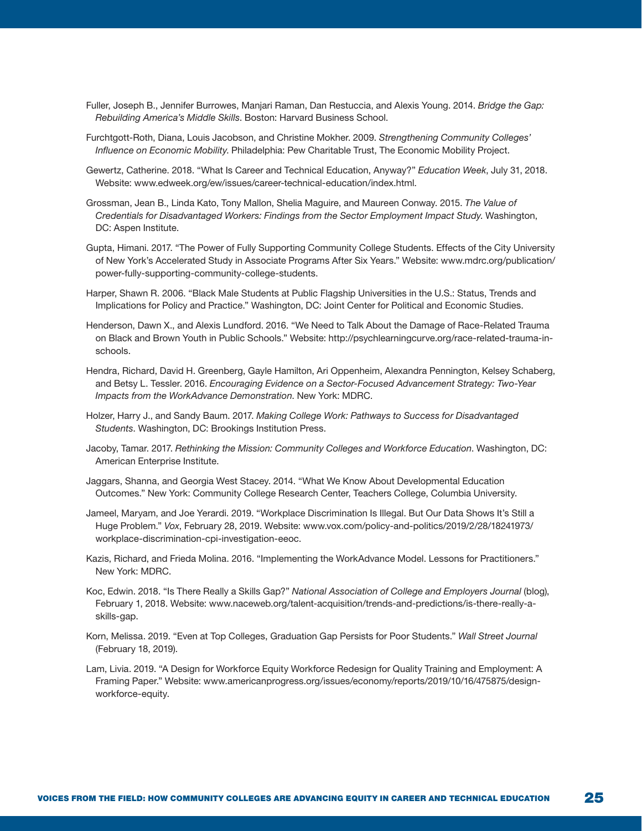- Fuller, Joseph B., Jennifer Burrowes, Manjari Raman, Dan Restuccia, and Alexis Young. 2014. *Bridge the Gap: Rebuilding America's Middle Skills*. Boston: Harvard Business School.
- Furchtgott-Roth, Diana, Louis Jacobson, and Christine Mokher. 2009. *Strengthening Community Colleges' Influence on Economic Mobility*. Philadelphia: Pew Charitable Trust, The Economic Mobility Project.
- Gewertz, Catherine. 2018. "What Is Career and Technical Education, Anyway?" *Education Week*, July 31, 2018. Website: www.edweek.org/ew/issues/career-technical-education/index.html.
- Grossman, Jean B., Linda Kato, Tony Mallon, Shelia Maguire, and Maureen Conway. 2015. *The Value of Credentials for Disadvantaged Workers: Findings from the Sector Employment Impact Study*. Washington, DC: Aspen Institute.
- Gupta, Himani. 2017. "The Power of Fully Supporting Community College Students. Effects of the City University of New York's Accelerated Study in Associate Programs After Six Years." Website: www.mdrc.org/publication/ power-fully-supporting-community-college-students.
- Harper, Shawn R. 2006. "Black Male Students at Public Flagship Universities in the U.S.: Status, Trends and Implications for Policy and Practice." Washington, DC: Joint Center for Political and Economic Studies.
- Henderson, Dawn X., and Alexis Lundford. 2016. "We Need to Talk About the Damage of Race-Related Trauma on Black and Brown Youth in Public Schools." Website: http://psychlearningcurve.org/race-related-trauma-inschools.
- Hendra, Richard, David H. Greenberg, Gayle Hamilton, Ari Oppenheim, Alexandra Pennington, Kelsey Schaberg, and Betsy L. Tessler. 2016. *Encouraging Evidence on a Sector-Focused Advancement Strategy: Two-Year Impacts from the WorkAdvance Demonstration*. New York: MDRC.
- Holzer, Harry J., and Sandy Baum. 2017. *Making College Work: Pathways to Success for Disadvantaged Students*. Washington, DC: Brookings Institution Press.
- Jacoby, Tamar. 2017. *Rethinking the Mission: Community Colleges and Workforce Education*. Washington, DC: American Enterprise Institute.
- Jaggars, Shanna, and Georgia West Stacey. 2014. "What We Know About Developmental Education Outcomes." New York: Community College Research Center, Teachers College, Columbia University.
- Jameel, Maryam, and Joe Yerardi. 2019. "Workplace Discrimination Is Illegal. But Our Data Shows It's Still a Huge Problem." *Vox*, February 28, 2019. Website: www.vox.com/policy-and-politics/2019/2/28/18241973/ workplace-discrimination-cpi-investigation-eeoc.
- Kazis, Richard, and Frieda Molina. 2016. "Implementing the WorkAdvance Model. Lessons for Practitioners." New York: MDRC.
- Koc, Edwin. 2018. "Is There Really a Skills Gap?" *National Association of College and Employers Journal* (blog), February 1, 2018. Website: www.naceweb.org/talent-acquisition/trends-and-predictions/is-there-really-askills-gap.
- Korn, Melissa. 2019. "Even at Top Colleges, Graduation Gap Persists for Poor Students." *Wall Street Journal*  (February 18, 2019).
- Lam, Livia. 2019. "A Design for Workforce Equity Workforce Redesign for Quality Training and Employment: A Framing Paper." Website: www.americanprogress.org/issues/economy/reports/2019/10/16/475875/designworkforce-equity.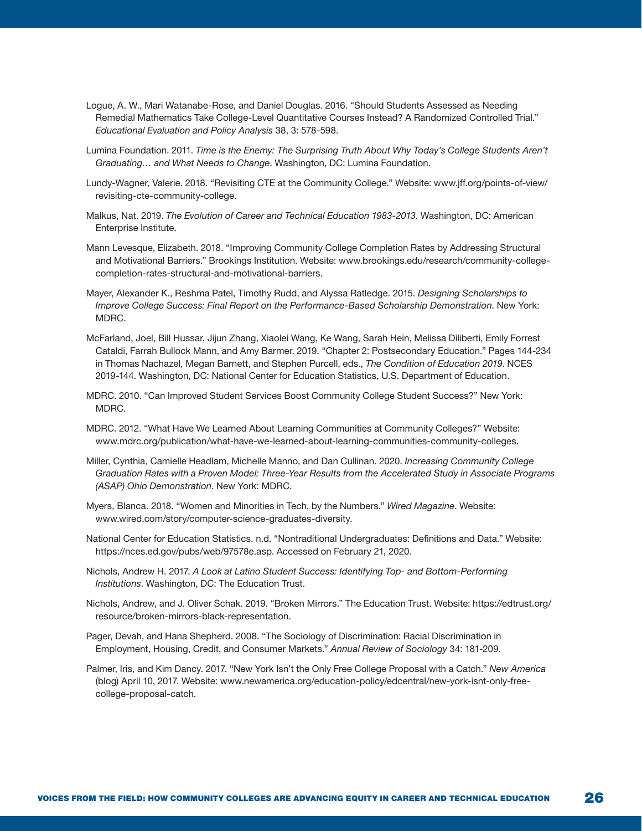- Logue, A. W., Mari Watanabe-Rose, and Daniel Douglas. 2016. "Should Students Assessed as Needing Remedial Mathematics Take College-Level Quantitative Courses Instead? A Randomized Controlled Trial." *Educational Evaluation and Policy Analysis* 38, 3: 578-598.
- Lumina Foundation. 2011. *Time is the Enemy: The Surprising Truth About Why Today's College Students Aren't Graduating… and What Needs to Change*. Washington, DC: Lumina Foundation.
- Lundy-Wagner, Valerie. 2018. "Revisiting CTE at the Community College." Website: www.jff.org/points-of-view/ revisiting-cte-community-college.
- Malkus, Nat. 2019. *The Evolution of Career and Technical Education 1983-2013*. Washington, DC: American Enterprise Institute.
- Mann Levesque, Elizabeth. 2018. "Improving Community College Completion Rates by Addressing Structural and Motivational Barriers." Brookings Institution. Website: www.brookings.edu/research/community-collegecompletion-rates-structural-and-motivational-barriers.
- Mayer, Alexander K., Reshma Patel, Timothy Rudd, and Alyssa Ratledge. 2015. *Designing Scholarships to Improve College Success: Final Report on the Performance-Based Scholarship Demonstration*. New York: MDRC.
- McFarland, Joel, Bill Hussar, Jijun Zhang, Xiaolei Wang, Ke Wang, Sarah Hein, Melissa Diliberti, Emily Forrest Cataldi, Farrah Bullock Mann, and Amy Barmer. 2019. "Chapter 2: Postsecondary Education." Pages 144-234 in Thomas Nachazel, Megan Barnett, and Stephen Purcell, eds., *The Condition of Education 2019*. NCES 2019-144. Washington, DC: National Center for Education Statistics, U.S. Department of Education.
- MDRC. 2010. "Can Improved Student Services Boost Community College Student Success?" New York: MDRC.
- MDRC. 2012. "What Have We Learned About Learning Communities at Community Colleges?" Website: www.mdrc.org/publication/what-have-we-learned-about-learning-communities-community-colleges.
- Miller, Cynthia, Camielle Headlam, Michelle Manno, and Dan Cullinan. 2020. *Increasing Community College Graduation Rates with a Proven Model: Three-Year Results from the Accelerated Study in Associate Programs (ASAP) Ohio Demonstration*. New York: MDRC.
- Myers, Blanca. 2018. "Women and Minorities in Tech, by the Numbers." *Wired Magazine*. Website: www.wired.com/story/computer-science-graduates-diversity.
- National Center for Education Statistics. n.d. "Nontraditional Undergraduates: Definitions and Data." Website: https://nces.ed.gov/pubs/web/97578e.asp. Accessed on February 21, 2020.
- Nichols, Andrew H. 2017. *A Look at Latino Student Success: Identifying Top- and Bottom-Performing Institutions*. Washington, DC: The Education Trust.
- Nichols, Andrew, and J. Oliver Schak. 2019. "Broken Mirrors." The Education Trust. Website: https://edtrust.org/ resource/broken-mirrors-black-representation.
- Pager, Devah, and Hana Shepherd. 2008. "The Sociology of Discrimination: Racial Discrimination in Employment, Housing, Credit, and Consumer Markets." *Annual Review of Sociology* 34: 181-209.
- Palmer, Iris, and Kim Dancy. 2017. "New York Isn't the Only Free College Proposal with a Catch." *New America* (blog) April 10, 2017. Website: www.newamerica.org/education-policy/edcentral/new-york-isnt-only-freecollege-proposal-catch.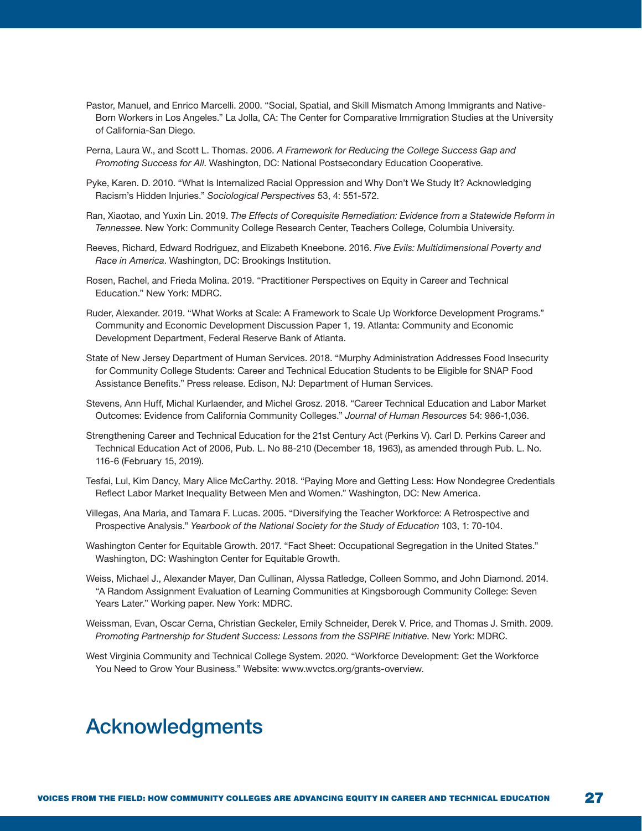- Pastor, Manuel, and Enrico Marcelli. 2000. "Social, Spatial, and Skill Mismatch Among Immigrants and Native-Born Workers in Los Angeles." La Jolla, CA: The Center for Comparative Immigration Studies at the University of California-San Diego.
- Perna, Laura W., and Scott L. Thomas. 2006. *A Framework for Reducing the College Success Gap and Promoting Success for All*. Washington, DC: National Postsecondary Education Cooperative.
- Pyke, Karen. D. 2010. "What Is Internalized Racial Oppression and Why Don't We Study It? Acknowledging Racism's Hidden Injuries." *Sociological Perspectives* 53, 4: 551-572.
- Ran, Xiaotao, and Yuxin Lin. 2019. *The Effects of Corequisite Remediation: Evidence from a Statewide Reform in Tennessee*. New York: Community College Research Center, Teachers College, Columbia University.
- Reeves, Richard, Edward Rodriguez, and Elizabeth Kneebone. 2016. *Five Evils: Multidimensional Poverty and Race in America*. Washington, DC: Brookings Institution.
- Rosen, Rachel, and Frieda Molina. 2019. "Practitioner Perspectives on Equity in Career and Technical Education." New York: MDRC.
- Ruder, Alexander. 2019. "What Works at Scale: A Framework to Scale Up Workforce Development Programs." Community and Economic Development Discussion Paper 1, 19. Atlanta: Community and Economic Development Department, Federal Reserve Bank of Atlanta.
- State of New Jersey Department of Human Services. 2018. "Murphy Administration Addresses Food Insecurity for Community College Students: Career and Technical Education Students to be Eligible for SNAP Food Assistance Benefits." Press release. Edison, NJ: Department of Human Services.
- Stevens, Ann Huff, Michal Kurlaender, and Michel Grosz. 2018. "Career Technical Education and Labor Market Outcomes: Evidence from California Community Colleges." *Journal of Human Resources* 54: 986-1,036.
- Strengthening Career and Technical Education for the 21st Century Act (Perkins V). Carl D. Perkins Career and Technical Education Act of 2006, Pub. L. No 88-210 (December 18, 1963), as amended through Pub. L. No. 116-6 (February 15, 2019).
- Tesfai, Lul, Kim Dancy, Mary Alice McCarthy. 2018. "Paying More and Getting Less: How Nondegree Credentials Reflect Labor Market Inequality Between Men and Women." Washington, DC: New America.
- Villegas, Ana Maria, and Tamara F. Lucas. 2005. "Diversifying the Teacher Workforce: A Retrospective and Prospective Analysis." *Yearbook of the National Society for the Study of Education* 103, 1: 70-104.
- Washington Center for Equitable Growth. 2017. "Fact Sheet: Occupational Segregation in the United States." Washington, DC: Washington Center for Equitable Growth.
- Weiss, Michael J., Alexander Mayer, Dan Cullinan, Alyssa Ratledge, Colleen Sommo, and John Diamond. 2014. "A Random Assignment Evaluation of Learning Communities at Kingsborough Community College: Seven Years Later." Working paper. New York: MDRC.
- Weissman, Evan, Oscar Cerna, Christian Geckeler, Emily Schneider, Derek V. Price, and Thomas J. Smith. 2009. *Promoting Partnership for Student Success: Lessons from the SSPIRE Initiative*. New York: MDRC.
- West Virginia Community and Technical College System. 2020. "Workforce Development: Get the Workforce You Need to Grow Your Business." Website: www.wvctcs.org/grants-overview.

### Acknowledgments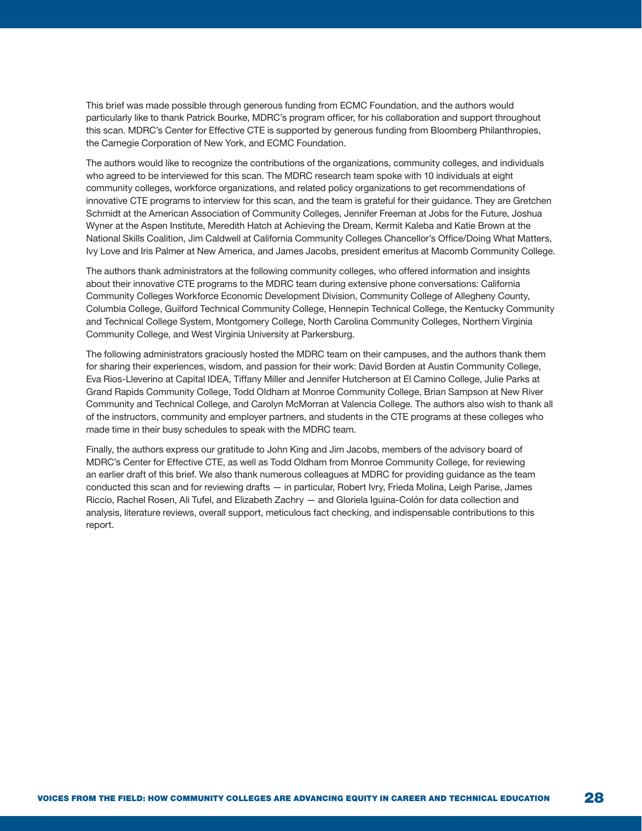This brief was made possible through generous funding from ECMC Foundation, and the authors would particularly like to thank Patrick Bourke, MDRC's program officer, for his collaboration and support throughout this scan. MDRC's Center for Effective CTE is supported by generous funding from Bloomberg Philanthropies, the Carnegie Corporation of New York, and ECMC Foundation.

The authors would like to recognize the contributions of the organizations, community colleges, and individuals who agreed to be interviewed for this scan. The MDRC research team spoke with 10 individuals at eight community colleges, workforce organizations, and related policy organizations to get recommendations of innovative CTE programs to interview for this scan, and the team is grateful for their guidance. They are Gretchen Schmidt at the American Association of Community Colleges, Jennifer Freeman at Jobs for the Future, Joshua Wyner at the Aspen Institute, Meredith Hatch at Achieving the Dream, Kermit Kaleba and Katie Brown at the National Skills Coalition, Jim Caldwell at California Community Colleges Chancellor's Office/Doing What Matters, Ivy Love and Iris Palmer at New America, and James Jacobs, president emeritus at Macomb Community College.

The authors thank administrators at the following community colleges, who offered information and insights about their innovative CTE programs to the MDRC team during extensive phone conversations: California Community Colleges Workforce Economic Development Division, Community College of Allegheny County, Columbia College, Guilford Technical Community College, Hennepin Technical College, the Kentucky Community and Technical College System, Montgomery College, North Carolina Community Colleges, Northern Virginia Community College, and West Virginia University at Parkersburg.

The following administrators graciously hosted the MDRC team on their campuses, and the authors thank them for sharing their experiences, wisdom, and passion for their work: David Borden at Austin Community College, Eva Rios-Lleverino at Capital IDEA, Tiffany Miller and Jennifer Hutcherson at El Camino College, Julie Parks at Grand Rapids Community College, Todd Oldham at Monroe Community College, Brian Sampson at New River Community and Technical College, and Carolyn McMorran at Valencia College. The authors also wish to thank all of the instructors, community and employer partners, and students in the CTE programs at these colleges who made time in their busy schedules to speak with the MDRC team.

Finally, the authors express our gratitude to John King and Jim Jacobs, members of the advisory board of MDRC's Center for Effective CTE, as well as Todd Oldham from Monroe Community College, for reviewing an earlier draft of this brief. We also thank numerous colleagues at MDRC for providing guidance as the team conducted this scan and for reviewing drafts — in particular, Robert Ivry, Frieda Molina, Leigh Parise, James Riccio, Rachel Rosen, Ali Tufel, and Elizabeth Zachry — and Gloriela Iguina-Colón for data collection and analysis, literature reviews, overall support, meticulous fact checking, and indispensable contributions to this report.